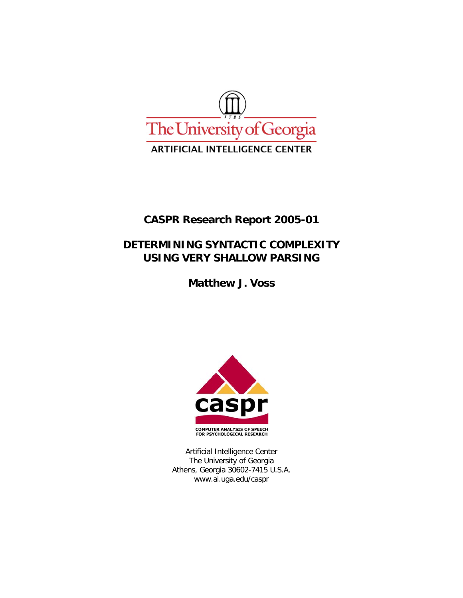

# **CASPR Research Report 2005-01**

# **DETERMINING SYNTACTIC COMPLEXITY USING VERY SHALLOW PARSING**

**Matthew J. Voss** 



Artificial Intelligence Center The University of Georgia Athens, Georgia 30602-7415 U.S.A. www.ai.uga.edu/caspr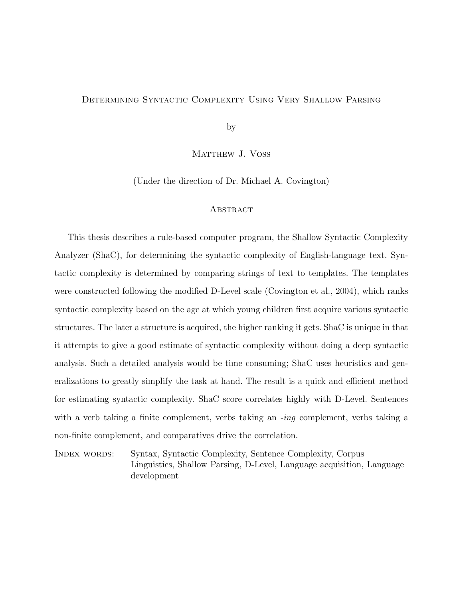## Determining Syntactic Complexity Using Very Shallow Parsing

by

MATTHEW J. VOSS

(Under the direction of Dr. Michael A. Covington)

#### **ABSTRACT**

This thesis describes a rule-based computer program, the Shallow Syntactic Complexity Analyzer (ShaC), for determining the syntactic complexity of English-language text. Syntactic complexity is determined by comparing strings of text to templates. The templates were constructed following the modified D-Level scale (Covington et al., 2004), which ranks syntactic complexity based on the age at which young children first acquire various syntactic structures. The later a structure is acquired, the higher ranking it gets. ShaC is unique in that it attempts to give a good estimate of syntactic complexity without doing a deep syntactic analysis. Such a detailed analysis would be time consuming; ShaC uses heuristics and generalizations to greatly simplify the task at hand. The result is a quick and efficient method for estimating syntactic complexity. ShaC score correlates highly with D-Level. Sentences with a verb taking a finite complement, verbs taking an  $-i\eta$  complement, verbs taking a non-finite complement, and comparatives drive the correlation.

Index words: Syntax, Syntactic Complexity, Sentence Complexity, Corpus Linguistics, Shallow Parsing, D-Level, Language acquisition, Language development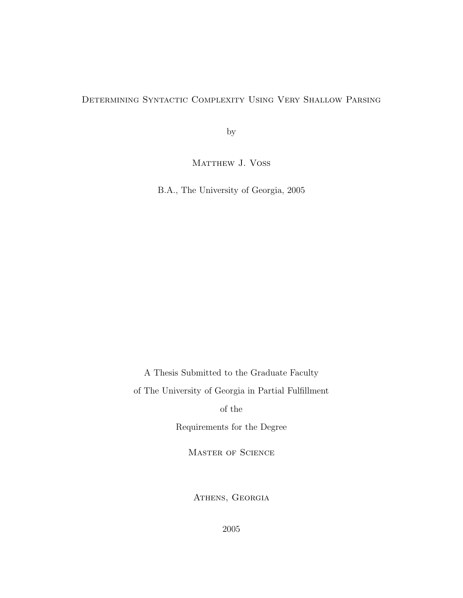## Determining Syntactic Complexity Using Very Shallow Parsing

by

MATTHEW J. VOSS

B.A., The University of Georgia, 2005

A Thesis Submitted to the Graduate Faculty

of The University of Georgia in Partial Fulfillment

of the

Requirements for the Degree

Master of Science

ATHENS, GEORGIA

2005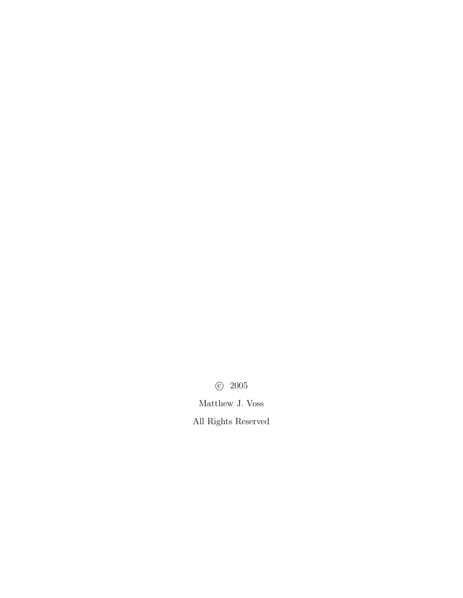c 2005

Matthew J. Voss

All Rights Reserved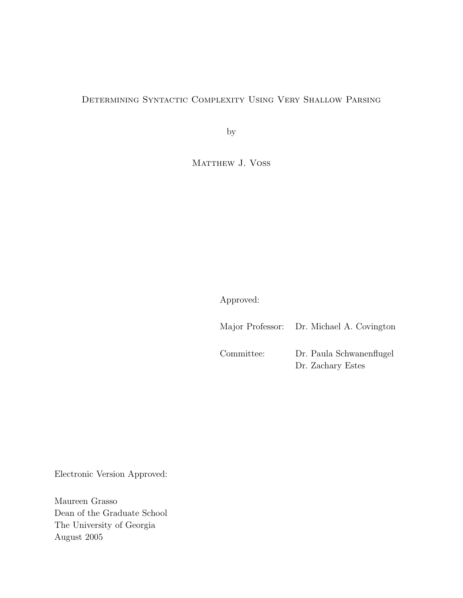## Determining Syntactic Complexity Using Very Shallow Parsing

by

MATTHEW J. VOSS

Approved:

|            | Major Professor: Dr. Michael A. Covington     |
|------------|-----------------------------------------------|
| Committee: | Dr. Paula Schwanenflugel<br>Dr. Zachary Estes |

Electronic Version Approved:

Maureen Grasso Dean of the Graduate School The University of Georgia August 2005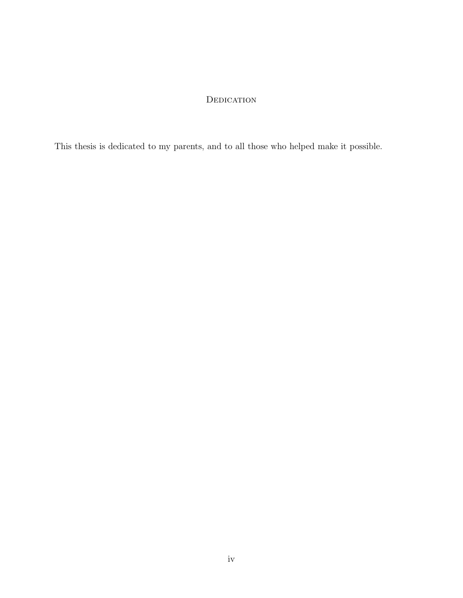## **DEDICATION**

This thesis is dedicated to my parents, and to all those who helped make it possible.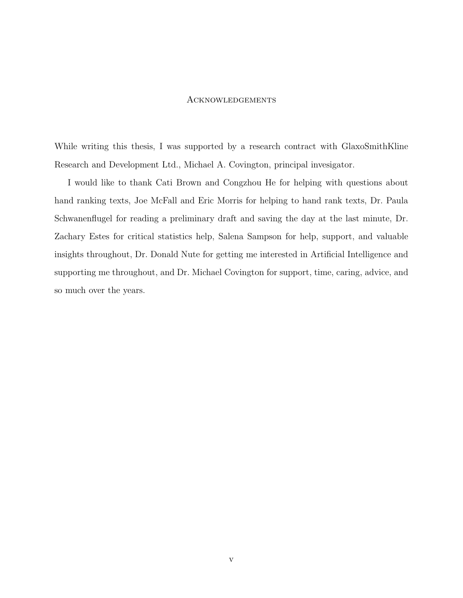#### Acknowledgements

While writing this thesis, I was supported by a research contract with GlaxoSmithKline Research and Development Ltd., Michael A. Covington, principal invesigator.

I would like to thank Cati Brown and Congzhou He for helping with questions about hand ranking texts, Joe McFall and Eric Morris for helping to hand rank texts, Dr. Paula Schwanenflugel for reading a preliminary draft and saving the day at the last minute, Dr. Zachary Estes for critical statistics help, Salena Sampson for help, support, and valuable insights throughout, Dr. Donald Nute for getting me interested in Artificial Intelligence and supporting me throughout, and Dr. Michael Covington for support, time, caring, advice, and so much over the years.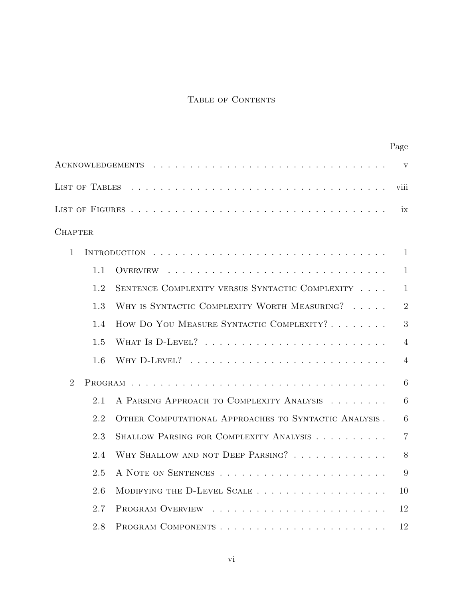## TABLE OF CONTENTS

|                |                |                                                       | Page           |
|----------------|----------------|-------------------------------------------------------|----------------|
|                |                |                                                       | $\mathbf{V}$   |
|                | LIST OF TABLES |                                                       | viii           |
|                |                |                                                       | ix             |
| <b>CHAPTER</b> |                |                                                       |                |
| $\mathbf{1}$   |                |                                                       | 1              |
|                | 1.1            | OVERVIEW                                              | $\mathbf{1}$   |
|                | 1.2            | SENTENCE COMPLEXITY VERSUS SYNTACTIC COMPLEXITY       | $\mathbf{1}$   |
|                | 1.3            | WHY IS SYNTACTIC COMPLEXITY WORTH MEASURING?          | $\overline{2}$ |
|                | 1.4            | HOW DO YOU MEASURE SYNTACTIC COMPLEXITY?              | 3              |
|                | 1.5            |                                                       | $\overline{4}$ |
|                | 1.6            |                                                       | 4              |
| $\overline{2}$ |                |                                                       | 6              |
|                | 2.1            | A PARSING APPROACH TO COMPLEXITY ANALYSIS             | 6              |
|                | 2.2            | OTHER COMPUTATIONAL APPROACHES TO SYNTACTIC ANALYSIS. | 6              |
|                | 2.3            | SHALLOW PARSING FOR COMPLEXITY ANALYSIS               | $\overline{7}$ |
|                | 2.4            | WHY SHALLOW AND NOT DEEP PARSING?                     | 8              |
|                | 2.5            |                                                       | 9              |
|                | 2.6            | MODIFYING THE D-LEVEL SCALE                           | 10             |
|                | 2.7            |                                                       | 12             |
|                | 2.8            |                                                       | 12             |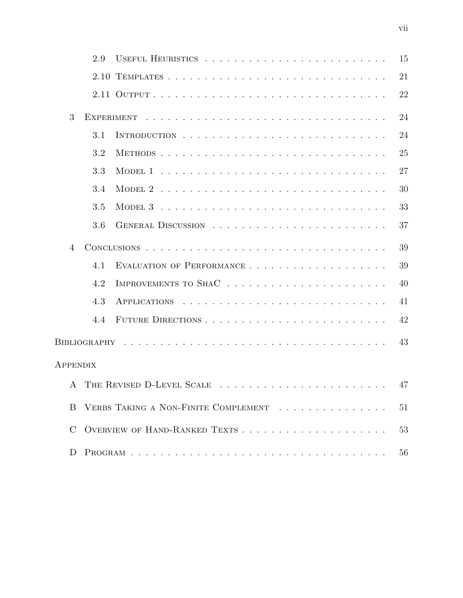|                | 2.9 |                                      | 15 |
|----------------|-----|--------------------------------------|----|
|                |     |                                      | 21 |
|                |     |                                      | 22 |
| 3              |     |                                      | 24 |
|                | 3.1 |                                      | 24 |
|                | 3.2 | METHODS                              | 25 |
|                | 3.3 |                                      | 27 |
|                | 3.4 |                                      | 30 |
|                | 3.5 |                                      | 33 |
|                | 3.6 |                                      | 37 |
| $\overline{4}$ |     |                                      | 39 |
|                | 4.1 |                                      | 39 |
|                | 4.2 |                                      | 40 |
|                | 4.3 |                                      | 41 |
|                | 4.4 |                                      | 42 |
|                |     |                                      | 43 |
| APPENDIX       |     |                                      |    |
|                |     | A THE REVISED D-LEVEL SCALE          | 47 |
| <sub>B</sub>   |     | VERBS TAKING A NON-FINITE COMPLEMENT | 51 |
| $\rm C$        |     |                                      | 53 |
| D              |     |                                      | 56 |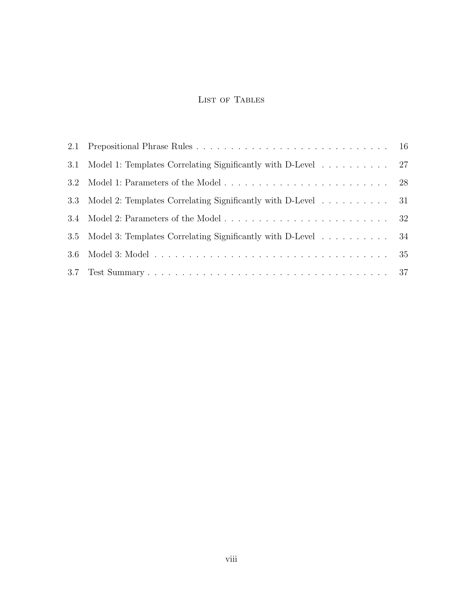## LIST OF TABLES

| 3.1     |                                                              |  |
|---------|--------------------------------------------------------------|--|
| $3.2\,$ |                                                              |  |
| 3.3     | Model 2: Templates Correlating Significantly with D-Level 31 |  |
| 3.4     |                                                              |  |
| $3.5\,$ | Model 3: Templates Correlating Significantly with D-Level 34 |  |
| 3.6     |                                                              |  |
|         |                                                              |  |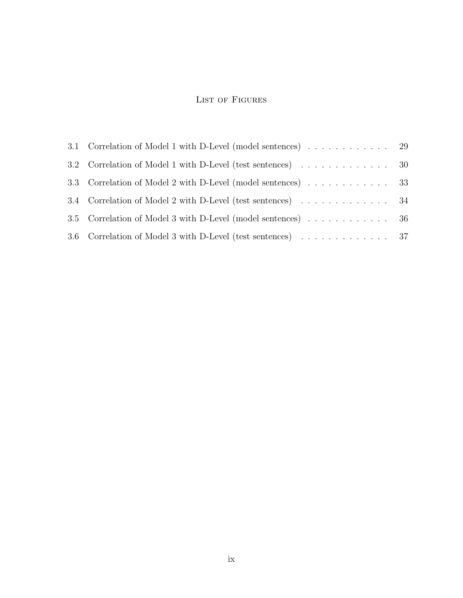## LIST OF FIGURES

| 3.3 Correlation of Model 2 with D-Level (model sentences) 33  |  |
|---------------------------------------------------------------|--|
| 3.4 Correlation of Model 2 with D-Level (test sentences) 34   |  |
| 3.5 Correlation of Model 3 with D-Level (model sentences)  36 |  |
| 3.6 Correlation of Model 3 with D-Level (test sentences) 37   |  |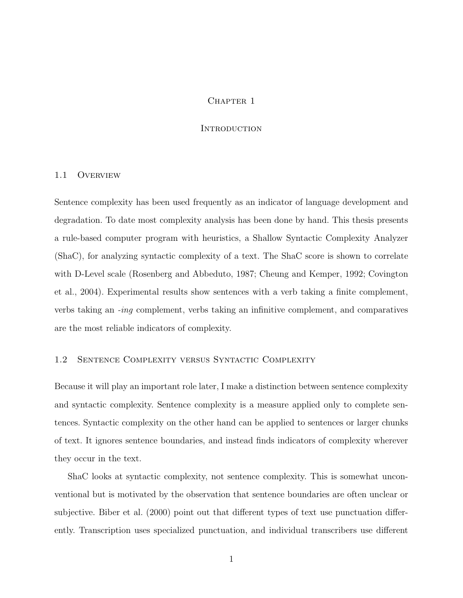## CHAPTER 1

#### **INTRODUCTION**

#### 1.1 Overview

Sentence complexity has been used frequently as an indicator of language development and degradation. To date most complexity analysis has been done by hand. This thesis presents a rule-based computer program with heuristics, a Shallow Syntactic Complexity Analyzer (ShaC), for analyzing syntactic complexity of a text. The ShaC score is shown to correlate with D-Level scale (Rosenberg and Abbeduto, 1987; Cheung and Kemper, 1992; Covington et al., 2004). Experimental results show sentences with a verb taking a finite complement, verbs taking an -ing complement, verbs taking an infinitive complement, and comparatives are the most reliable indicators of complexity.

## 1.2 Sentence Complexity versus Syntactic Complexity

Because it will play an important role later, I make a distinction between sentence complexity and syntactic complexity. Sentence complexity is a measure applied only to complete sentences. Syntactic complexity on the other hand can be applied to sentences or larger chunks of text. It ignores sentence boundaries, and instead finds indicators of complexity wherever they occur in the text.

ShaC looks at syntactic complexity, not sentence complexity. This is somewhat unconventional but is motivated by the observation that sentence boundaries are often unclear or subjective. Biber et al. (2000) point out that different types of text use punctuation differently. Transcription uses specialized punctuation, and individual transcribers use different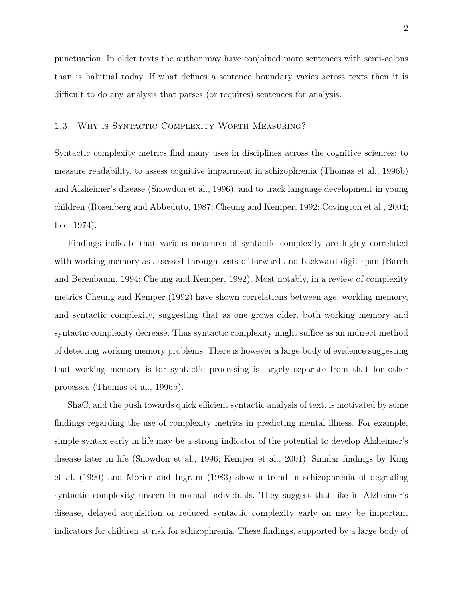punctuation. In older texts the author may have conjoined more sentences with semi-colons than is habitual today. If what defines a sentence boundary varies across texts then it is difficult to do any analysis that parses (or requires) sentences for analysis.

## 1.3 Why is Syntactic Complexity Worth Measuring?

Syntactic complexity metrics find many uses in disciplines across the cognitive sciences: to measure readability, to assess cognitive impairment in schizophrenia (Thomas et al., 1996b) and Alzheimer's disease (Snowdon et al., 1996), and to track language development in young children (Rosenberg and Abbeduto, 1987; Cheung and Kemper, 1992; Covington et al., 2004; Lee, 1974).

Findings indicate that various measures of syntactic complexity are highly correlated with working memory as assessed through tests of forward and backward digit span (Barch and Berenbaum, 1994; Cheung and Kemper, 1992). Most notably, in a review of complexity metrics Cheung and Kemper (1992) have shown correlations between age, working memory, and syntactic complexity, suggesting that as one grows older, both working memory and syntactic complexity decrease. Thus syntactic complexity might suffice as an indirect method of detecting working memory problems. There is however a large body of evidence suggesting that working memory is for syntactic processing is largely separate from that for other processes (Thomas et al., 1996b).

ShaC, and the push towards quick efficient syntactic analysis of text, is motivated by some findings regarding the use of complexity metrics in predicting mental illness. For example, simple syntax early in life may be a strong indicator of the potential to develop Alzheimer's disease later in life (Snowdon et al., 1996; Kemper et al., 2001). Similar findings by King et al. (1990) and Morice and Ingram (1983) show a trend in schizophrenia of degrading syntactic complexity unseen in normal individuals. They suggest that like in Alzheimer's disease, delayed acquisition or reduced syntactic complexity early on may be important indicators for children at risk for schizophrenia. These findings, supported by a large body of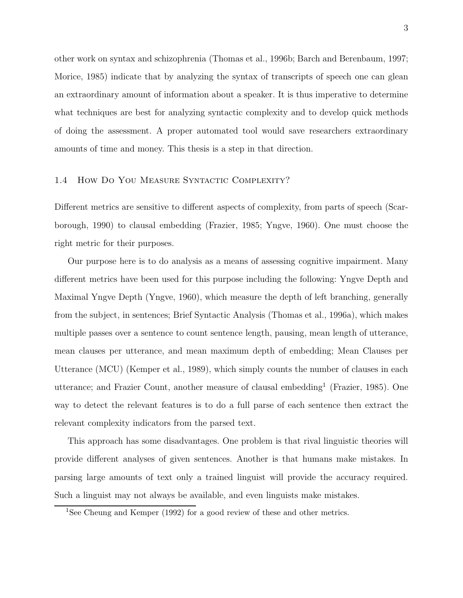other work on syntax and schizophrenia (Thomas et al., 1996b; Barch and Berenbaum, 1997; Morice, 1985) indicate that by analyzing the syntax of transcripts of speech one can glean an extraordinary amount of information about a speaker. It is thus imperative to determine what techniques are best for analyzing syntactic complexity and to develop quick methods of doing the assessment. A proper automated tool would save researchers extraordinary amounts of time and money. This thesis is a step in that direction.

## 1.4 How Do You Measure Syntactic Complexity?

Different metrics are sensitive to different aspects of complexity, from parts of speech (Scarborough, 1990) to clausal embedding (Frazier, 1985; Yngve, 1960). One must choose the right metric for their purposes.

Our purpose here is to do analysis as a means of assessing cognitive impairment. Many different metrics have been used for this purpose including the following: Yngve Depth and Maximal Yngve Depth (Yngve, 1960), which measure the depth of left branching, generally from the subject, in sentences; Brief Syntactic Analysis (Thomas et al., 1996a), which makes multiple passes over a sentence to count sentence length, pausing, mean length of utterance, mean clauses per utterance, and mean maximum depth of embedding; Mean Clauses per Utterance (MCU) (Kemper et al., 1989), which simply counts the number of clauses in each utterance; and Frazier Count, another measure of clausal embedding<sup>1</sup> (Frazier, 1985). One way to detect the relevant features is to do a full parse of each sentence then extract the relevant complexity indicators from the parsed text.

This approach has some disadvantages. One problem is that rival linguistic theories will provide different analyses of given sentences. Another is that humans make mistakes. In parsing large amounts of text only a trained linguist will provide the accuracy required. Such a linguist may not always be available, and even linguists make mistakes.

<sup>1</sup>See Cheung and Kemper (1992) for a good review of these and other metrics.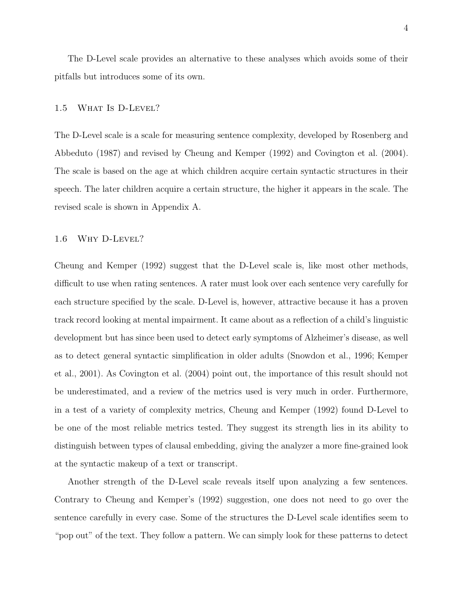The D-Level scale provides an alternative to these analyses which avoids some of their pitfalls but introduces some of its own.

## 1.5 What Is D-Level?

The D-Level scale is a scale for measuring sentence complexity, developed by Rosenberg and Abbeduto (1987) and revised by Cheung and Kemper (1992) and Covington et al. (2004). The scale is based on the age at which children acquire certain syntactic structures in their speech. The later children acquire a certain structure, the higher it appears in the scale. The revised scale is shown in Appendix A.

#### 1.6 Why D-Level?

Cheung and Kemper (1992) suggest that the D-Level scale is, like most other methods, difficult to use when rating sentences. A rater must look over each sentence very carefully for each structure specified by the scale. D-Level is, however, attractive because it has a proven track record looking at mental impairment. It came about as a reflection of a child's linguistic development but has since been used to detect early symptoms of Alzheimer's disease, as well as to detect general syntactic simplification in older adults (Snowdon et al., 1996; Kemper et al., 2001). As Covington et al. (2004) point out, the importance of this result should not be underestimated, and a review of the metrics used is very much in order. Furthermore, in a test of a variety of complexity metrics, Cheung and Kemper (1992) found D-Level to be one of the most reliable metrics tested. They suggest its strength lies in its ability to distinguish between types of clausal embedding, giving the analyzer a more fine-grained look at the syntactic makeup of a text or transcript.

Another strength of the D-Level scale reveals itself upon analyzing a few sentences. Contrary to Cheung and Kemper's (1992) suggestion, one does not need to go over the sentence carefully in every case. Some of the structures the D-Level scale identifies seem to "pop out" of the text. They follow a pattern. We can simply look for these patterns to detect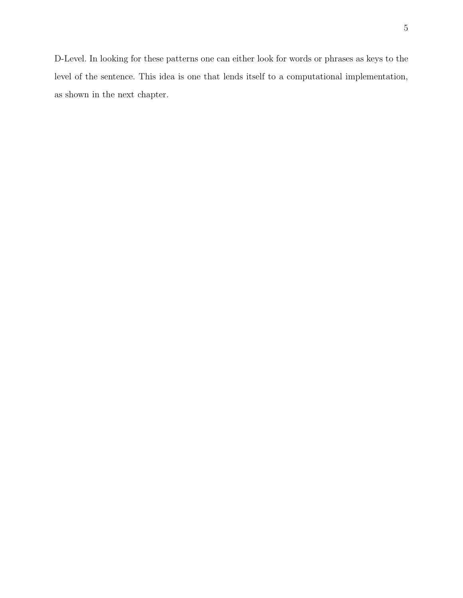D-Level. In looking for these patterns one can either look for words or phrases as keys to the level of the sentence. This idea is one that lends itself to a computational implementation, as shown in the next chapter.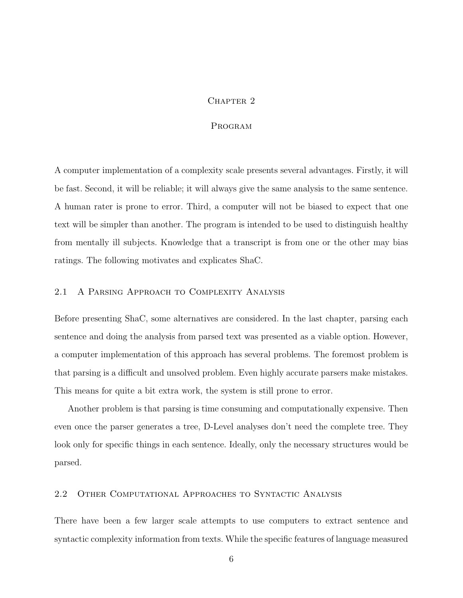## CHAPTER<sub>2</sub>

## Program

A computer implementation of a complexity scale presents several advantages. Firstly, it will be fast. Second, it will be reliable; it will always give the same analysis to the same sentence. A human rater is prone to error. Third, a computer will not be biased to expect that one text will be simpler than another. The program is intended to be used to distinguish healthy from mentally ill subjects. Knowledge that a transcript is from one or the other may bias ratings. The following motivates and explicates ShaC.

## 2.1 A Parsing Approach to Complexity Analysis

Before presenting ShaC, some alternatives are considered. In the last chapter, parsing each sentence and doing the analysis from parsed text was presented as a viable option. However, a computer implementation of this approach has several problems. The foremost problem is that parsing is a difficult and unsolved problem. Even highly accurate parsers make mistakes. This means for quite a bit extra work, the system is still prone to error.

Another problem is that parsing is time consuming and computationally expensive. Then even once the parser generates a tree, D-Level analyses don't need the complete tree. They look only for specific things in each sentence. Ideally, only the necessary structures would be parsed.

## 2.2 Other Computational Approaches to Syntactic Analysis

There have been a few larger scale attempts to use computers to extract sentence and syntactic complexity information from texts. While the specific features of language measured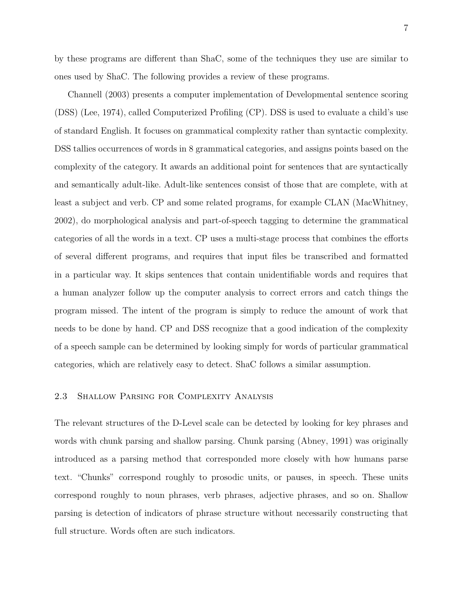by these programs are different than ShaC, some of the techniques they use are similar to ones used by ShaC. The following provides a review of these programs.

Channell (2003) presents a computer implementation of Developmental sentence scoring (DSS) (Lee, 1974), called Computerized Profiling (CP). DSS is used to evaluate a child's use of standard English. It focuses on grammatical complexity rather than syntactic complexity. DSS tallies occurrences of words in 8 grammatical categories, and assigns points based on the complexity of the category. It awards an additional point for sentences that are syntactically and semantically adult-like. Adult-like sentences consist of those that are complete, with at least a subject and verb. CP and some related programs, for example CLAN (MacWhitney, 2002), do morphological analysis and part-of-speech tagging to determine the grammatical categories of all the words in a text. CP uses a multi-stage process that combines the efforts of several different programs, and requires that input files be transcribed and formatted in a particular way. It skips sentences that contain unidentifiable words and requires that a human analyzer follow up the computer analysis to correct errors and catch things the program missed. The intent of the program is simply to reduce the amount of work that needs to be done by hand. CP and DSS recognize that a good indication of the complexity of a speech sample can be determined by looking simply for words of particular grammatical categories, which are relatively easy to detect. ShaC follows a similar assumption.

## 2.3 Shallow Parsing for Complexity Analysis

The relevant structures of the D-Level scale can be detected by looking for key phrases and words with chunk parsing and shallow parsing. Chunk parsing (Abney, 1991) was originally introduced as a parsing method that corresponded more closely with how humans parse text. "Chunks" correspond roughly to prosodic units, or pauses, in speech. These units correspond roughly to noun phrases, verb phrases, adjective phrases, and so on. Shallow parsing is detection of indicators of phrase structure without necessarily constructing that full structure. Words often are such indicators.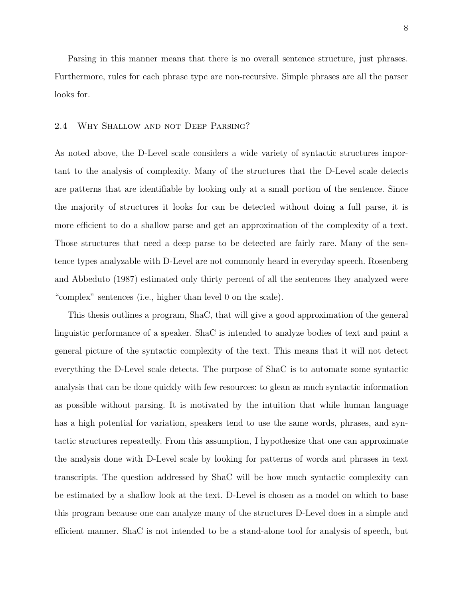Parsing in this manner means that there is no overall sentence structure, just phrases. Furthermore, rules for each phrase type are non-recursive. Simple phrases are all the parser looks for.

## 2.4 Why Shallow and not Deep Parsing?

As noted above, the D-Level scale considers a wide variety of syntactic structures important to the analysis of complexity. Many of the structures that the D-Level scale detects are patterns that are identifiable by looking only at a small portion of the sentence. Since the majority of structures it looks for can be detected without doing a full parse, it is more efficient to do a shallow parse and get an approximation of the complexity of a text. Those structures that need a deep parse to be detected are fairly rare. Many of the sentence types analyzable with D-Level are not commonly heard in everyday speech. Rosenberg and Abbeduto (1987) estimated only thirty percent of all the sentences they analyzed were "complex" sentences (i.e., higher than level 0 on the scale).

This thesis outlines a program, ShaC, that will give a good approximation of the general linguistic performance of a speaker. ShaC is intended to analyze bodies of text and paint a general picture of the syntactic complexity of the text. This means that it will not detect everything the D-Level scale detects. The purpose of ShaC is to automate some syntactic analysis that can be done quickly with few resources: to glean as much syntactic information as possible without parsing. It is motivated by the intuition that while human language has a high potential for variation, speakers tend to use the same words, phrases, and syntactic structures repeatedly. From this assumption, I hypothesize that one can approximate the analysis done with D-Level scale by looking for patterns of words and phrases in text transcripts. The question addressed by ShaC will be how much syntactic complexity can be estimated by a shallow look at the text. D-Level is chosen as a model on which to base this program because one can analyze many of the structures D-Level does in a simple and efficient manner. ShaC is not intended to be a stand-alone tool for analysis of speech, but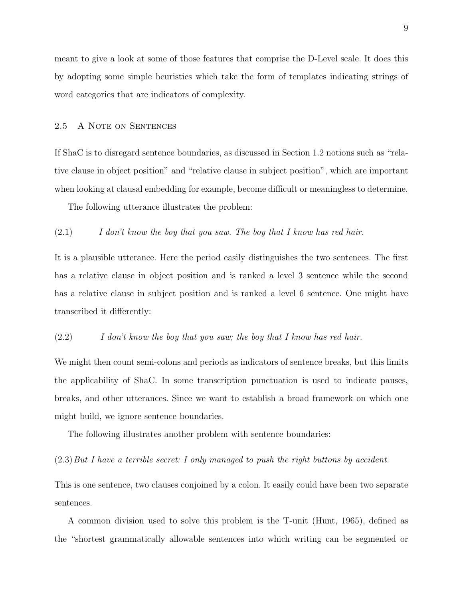meant to give a look at some of those features that comprise the D-Level scale. It does this by adopting some simple heuristics which take the form of templates indicating strings of word categories that are indicators of complexity.

## 2.5 A Note on Sentences

If ShaC is to disregard sentence boundaries, as discussed in Section 1.2 notions such as "relative clause in object position" and "relative clause in subject position", which are important when looking at clausal embedding for example, become difficult or meaningless to determine.

The following utterance illustrates the problem:

#### $(2.1)$  I don't know the boy that you saw. The boy that I know has red hair.

It is a plausible utterance. Here the period easily distinguishes the two sentences. The first has a relative clause in object position and is ranked a level 3 sentence while the second has a relative clause in subject position and is ranked a level 6 sentence. One might have transcribed it differently:

## (2.2) I don't know the boy that you saw; the boy that I know has red hair.

We might then count semi-colons and periods as indicators of sentence breaks, but this limits the applicability of ShaC. In some transcription punctuation is used to indicate pauses, breaks, and other utterances. Since we want to establish a broad framework on which one might build, we ignore sentence boundaries.

The following illustrates another problem with sentence boundaries:

#### (2.3)But I have a terrible secret: I only managed to push the right buttons by accident.

This is one sentence, two clauses conjoined by a colon. It easily could have been two separate sentences.

A common division used to solve this problem is the T-unit (Hunt, 1965), defined as the "shortest grammatically allowable sentences into which writing can be segmented or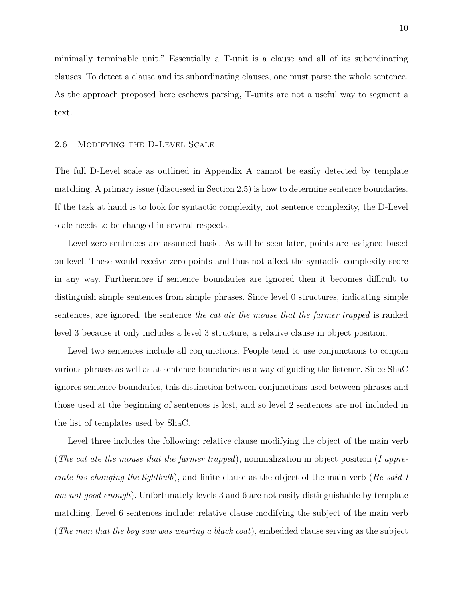minimally terminable unit." Essentially a T-unit is a clause and all of its subordinating clauses. To detect a clause and its subordinating clauses, one must parse the whole sentence. As the approach proposed here eschews parsing, T-units are not a useful way to segment a text.

#### 2.6 Modifying the D-Level Scale

The full D-Level scale as outlined in Appendix A cannot be easily detected by template matching. A primary issue (discussed in Section 2.5) is how to determine sentence boundaries. If the task at hand is to look for syntactic complexity, not sentence complexity, the D-Level scale needs to be changed in several respects.

Level zero sentences are assumed basic. As will be seen later, points are assigned based on level. These would receive zero points and thus not affect the syntactic complexity score in any way. Furthermore if sentence boundaries are ignored then it becomes difficult to distinguish simple sentences from simple phrases. Since level 0 structures, indicating simple sentences, are ignored, the sentence the cat ate the mouse that the farmer trapped is ranked level 3 because it only includes a level 3 structure, a relative clause in object position.

Level two sentences include all conjunctions. People tend to use conjunctions to conjoin various phrases as well as at sentence boundaries as a way of guiding the listener. Since ShaC ignores sentence boundaries, this distinction between conjunctions used between phrases and those used at the beginning of sentences is lost, and so level 2 sentences are not included in the list of templates used by ShaC.

Level three includes the following: relative clause modifying the object of the main verb (The cat ate the mouse that the farmer trapped), nominalization in object position (I appreciate his changing the lightbulb), and finite clause as the object of the main verb (He said I am not good enough). Unfortunately levels 3 and 6 are not easily distinguishable by template matching. Level 6 sentences include: relative clause modifying the subject of the main verb (The man that the boy saw was wearing a black coat), embedded clause serving as the subject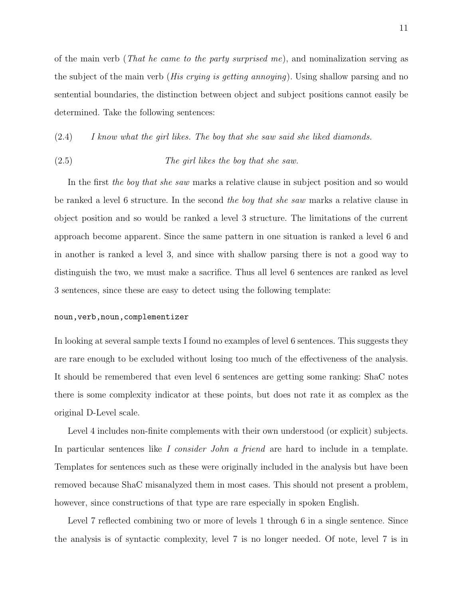of the main verb (*That he came to the party surprised me*), and nominalization serving as the subject of the main verb (His crying is getting annoying). Using shallow parsing and no sentential boundaries, the distinction between object and subject positions cannot easily be determined. Take the following sentences:

(2.4) I know what the girl likes. The boy that she saw said she liked diamonds.

#### (2.5) The girl likes the boy that she saw.

In the first the boy that she saw marks a relative clause in subject position and so would be ranked a level 6 structure. In the second the boy that she saw marks a relative clause in object position and so would be ranked a level 3 structure. The limitations of the current approach become apparent. Since the same pattern in one situation is ranked a level 6 and in another is ranked a level 3, and since with shallow parsing there is not a good way to distinguish the two, we must make a sacrifice. Thus all level 6 sentences are ranked as level 3 sentences, since these are easy to detect using the following template:

#### noun,verb,noun,complementizer

In looking at several sample texts I found no examples of level 6 sentences. This suggests they are rare enough to be excluded without losing too much of the effectiveness of the analysis. It should be remembered that even level 6 sentences are getting some ranking: ShaC notes there is some complexity indicator at these points, but does not rate it as complex as the original D-Level scale.

Level 4 includes non-finite complements with their own understood (or explicit) subjects. In particular sentences like I consider John a friend are hard to include in a template. Templates for sentences such as these were originally included in the analysis but have been removed because ShaC misanalyzed them in most cases. This should not present a problem, however, since constructions of that type are rare especially in spoken English.

Level 7 reflected combining two or more of levels 1 through 6 in a single sentence. Since the analysis is of syntactic complexity, level 7 is no longer needed. Of note, level 7 is in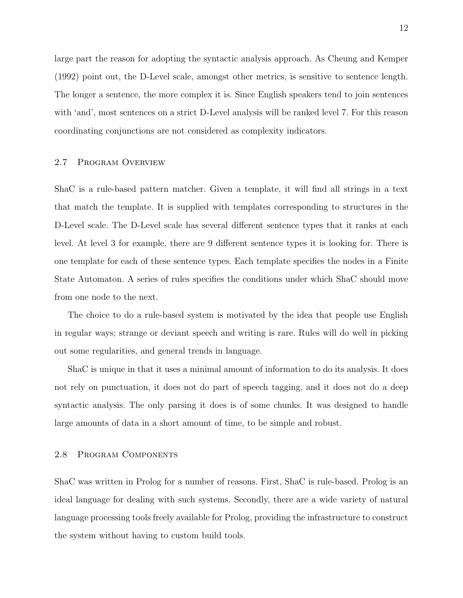large part the reason for adopting the syntactic analysis approach. As Cheung and Kemper (1992) point out, the D-Level scale, amongst other metrics, is sensitive to sentence length. The longer a sentence, the more complex it is. Since English speakers tend to join sentences with 'and', most sentences on a strict D-Level analysis will be ranked level 7. For this reason coordinating conjunctions are not considered as complexity indicators.

## 2.7 Program Overview

ShaC is a rule-based pattern matcher. Given a template, it will find all strings in a text that match the template. It is supplied with templates corresponding to structures in the D-Level scale. The D-Level scale has several different sentence types that it ranks at each level. At level 3 for example, there are 9 different sentence types it is looking for. There is one template for each of these sentence types. Each template specifies the nodes in a Finite State Automaton. A series of rules specifies the conditions under which ShaC should move from one node to the next.

The choice to do a rule-based system is motivated by the idea that people use English in regular ways; strange or deviant speech and writing is rare. Rules will do well in picking out some regularities, and general trends in language.

ShaC is unique in that it uses a minimal amount of information to do its analysis. It does not rely on punctuation, it does not do part of speech tagging, and it does not do a deep syntactic analysis. The only parsing it does is of some chunks. It was designed to handle large amounts of data in a short amount of time, to be simple and robust.

#### 2.8 Program Components

ShaC was written in Prolog for a number of reasons. First, ShaC is rule-based. Prolog is an ideal language for dealing with such systems. Secondly, there are a wide variety of natural language processing tools freely available for Prolog, providing the infrastructure to construct the system without having to custom build tools.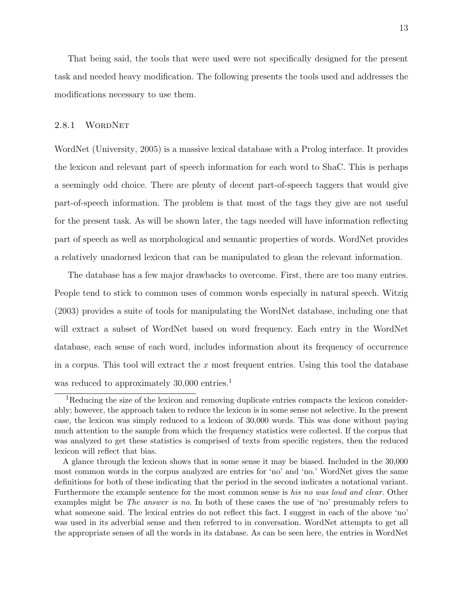That being said, the tools that were used were not specifically designed for the present task and needed heavy modification. The following presents the tools used and addresses the modifications necessary to use them.

## 2.8.1 WORDNET

WordNet (University, 2005) is a massive lexical database with a Prolog interface. It provides the lexicon and relevant part of speech information for each word to ShaC. This is perhaps a seemingly odd choice. There are plenty of decent part-of-speech taggers that would give part-of-speech information. The problem is that most of the tags they give are not useful for the present task. As will be shown later, the tags needed will have information reflecting part of speech as well as morphological and semantic properties of words. WordNet provides a relatively unadorned lexicon that can be manipulated to glean the relevant information.

The database has a few major drawbacks to overcome. First, there are too many entries. People tend to stick to common uses of common words especially in natural speech. Witzig (2003) provides a suite of tools for manipulating the WordNet database, including one that will extract a subset of WordNet based on word frequency. Each entry in the WordNet database, each sense of each word, includes information about its frequency of occurrence in a corpus. This tool will extract the  $x$  most frequent entries. Using this tool the database was reduced to approximately 30,000 entries.<sup>1</sup>

<sup>&</sup>lt;sup>1</sup>Reducing the size of the lexicon and removing duplicate entries compacts the lexicon considerably; however, the approach taken to reduce the lexicon is in some sense not selective. In the present case, the lexicon was simply reduced to a lexicon of 30,000 words. This was done without paying much attention to the sample from which the frequency statistics were collected. If the corpus that was analyzed to get these statistics is comprised of texts from specific registers, then the reduced lexicon will reflect that bias.

A glance through the lexicon shows that in some sense it may be biased. Included in the 30,000 most common words in the corpus analyzed are entries for 'no' and 'no.' WordNet gives the same definitions for both of these indicating that the period in the second indicates a notational variant. Furthermore the example sentence for the most common sense is his no was loud and clear. Other examples might be *The answer is no*. In both of these cases the use of 'no' presumably refers to what someone said. The lexical entries do not reflect this fact. I suggest in each of the above 'no' was used in its adverbial sense and then referred to in conversation. WordNet attempts to get all the appropriate senses of all the words in its database. As can be seen here, the entries in WordNet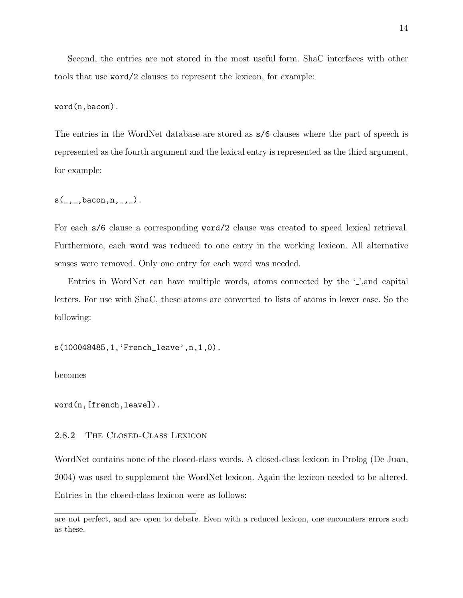Second, the entries are not stored in the most useful form. ShaC interfaces with other tools that use word/2 clauses to represent the lexicon, for example:

word(n,bacon).

The entries in the WordNet database are stored as s/6 clauses where the part of speech is represented as the fourth argument and the lexical entry is represented as the third argument, for example:

 $s(\_,\_,\text{bacon},n,\_,\_)$ .

For each s/6 clause a corresponding word/2 clause was created to speed lexical retrieval. Furthermore, each word was reduced to one entry in the working lexicon. All alternative senses were removed. Only one entry for each word was needed.

Entries in WordNet can have multiple words, atoms connected by the  $\cdot$ , and capital letters. For use with ShaC, these atoms are converted to lists of atoms in lower case. So the following:

s(100048485,1,'French\_leave',n,1,0).

becomes

word(n,[french,leave]).

## 2.8.2 The Closed-Class Lexicon

WordNet contains none of the closed-class words. A closed-class lexicon in Prolog (De Juan, 2004) was used to supplement the WordNet lexicon. Again the lexicon needed to be altered. Entries in the closed-class lexicon were as follows:

are not perfect, and are open to debate. Even with a reduced lexicon, one encounters errors such as these.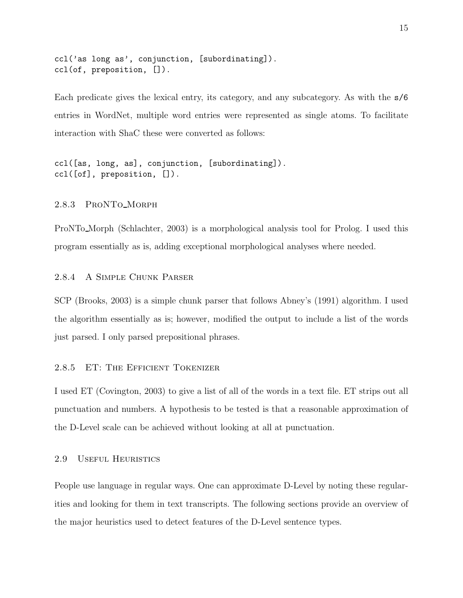```
ccl('as long as', conjunction, [subordinating]).
ccl(of, preposition, []).
```
Each predicate gives the lexical entry, its category, and any subcategory. As with the s/6 entries in WordNet, multiple word entries were represented as single atoms. To facilitate interaction with ShaC these were converted as follows:

ccl([as, long, as], conjunction, [subordinating]). ccl([of], preposition, []).

## 2.8.3 ProNTo Morph

ProNTo Morph (Schlachter, 2003) is a morphological analysis tool for Prolog. I used this program essentially as is, adding exceptional morphological analyses where needed.

#### 2.8.4 A Simple Chunk Parser

SCP (Brooks, 2003) is a simple chunk parser that follows Abney's (1991) algorithm. I used the algorithm essentially as is; however, modified the output to include a list of the words just parsed. I only parsed prepositional phrases.

## 2.8.5 ET: The Efficient Tokenizer

I used ET (Covington, 2003) to give a list of all of the words in a text file. ET strips out all punctuation and numbers. A hypothesis to be tested is that a reasonable approximation of the D-Level scale can be achieved without looking at all at punctuation.

#### 2.9 Useful Heuristics

People use language in regular ways. One can approximate D-Level by noting these regularities and looking for them in text transcripts. The following sections provide an overview of the major heuristics used to detect features of the D-Level sentence types.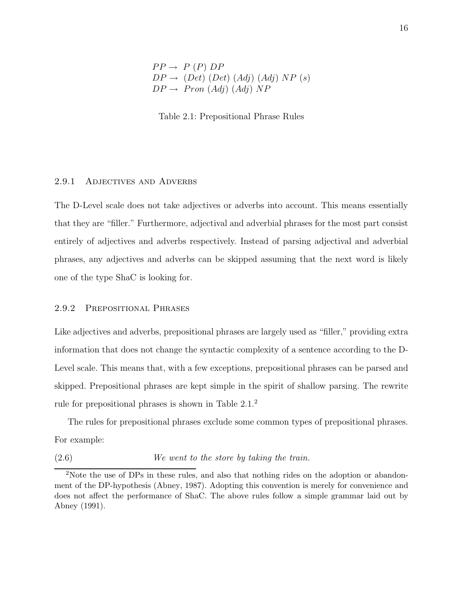$$
PP \rightarrow P (P) DP
$$
  
 
$$
DP \rightarrow (Det) (Det) (Adj) (Adj) NP (s)
$$
  
 
$$
DP \rightarrow Pron (Adj) (Adj) NP
$$

Table 2.1: Prepositional Phrase Rules

#### 2.9.1 ADJECTIVES AND ADVERBS

The D-Level scale does not take adjectives or adverbs into account. This means essentially that they are "filler." Furthermore, adjectival and adverbial phrases for the most part consist entirely of adjectives and adverbs respectively. Instead of parsing adjectival and adverbial phrases, any adjectives and adverbs can be skipped assuming that the next word is likely one of the type ShaC is looking for.

### 2.9.2 Prepositional Phrases

Like adjectives and adverbs, prepositional phrases are largely used as "filler," providing extra information that does not change the syntactic complexity of a sentence according to the D-Level scale. This means that, with a few exceptions, prepositional phrases can be parsed and skipped. Prepositional phrases are kept simple in the spirit of shallow parsing. The rewrite rule for prepositional phrases is shown in Table 2.1.<sup>2</sup>

The rules for prepositional phrases exclude some common types of prepositional phrases. For example:

(2.6) We went to the store by taking the train.

<sup>&</sup>lt;sup>2</sup>Note the use of DPs in these rules, and also that nothing rides on the adoption or abandonment of the DP-hypothesis (Abney, 1987). Adopting this convention is merely for convenience and does not affect the performance of ShaC. The above rules follow a simple grammar laid out by Abney (1991).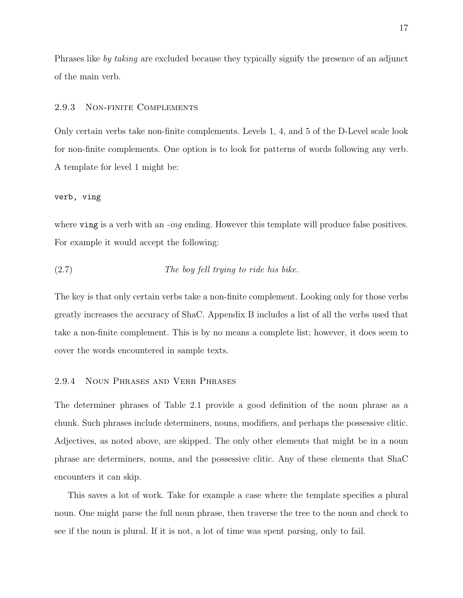Phrases like by taking are excluded because they typically signify the presence of an adjunct of the main verb.

#### 2.9.3 Non-finite Complements

Only certain verbs take non-finite complements. Levels 1, 4, and 5 of the D-Level scale look for non-finite complements. One option is to look for patterns of words following any verb. A template for level 1 might be:

#### verb, ving

where ving is a verb with an -ing ending. However this template will produce false positives. For example it would accept the following:

$$
(2.7)
$$
 The boy fell trying to ride his bike.

The key is that only certain verbs take a non-finite complement. Looking only for those verbs greatly increases the accuracy of ShaC. Appendix B includes a list of all the verbs used that take a non-finite complement. This is by no means a complete list; however, it does seem to cover the words encountered in sample texts.

#### 2.9.4 Noun Phrases and Verb Phrases

The determiner phrases of Table 2.1 provide a good definition of the noun phrase as a chunk. Such phrases include determiners, nouns, modifiers, and perhaps the possessive clitic. Adjectives, as noted above, are skipped. The only other elements that might be in a noun phrase are determiners, nouns, and the possessive clitic. Any of these elements that ShaC encounters it can skip.

This saves a lot of work. Take for example a case where the template specifies a plural noun. One might parse the full noun phrase, then traverse the tree to the noun and check to see if the noun is plural. If it is not, a lot of time was spent parsing, only to fail.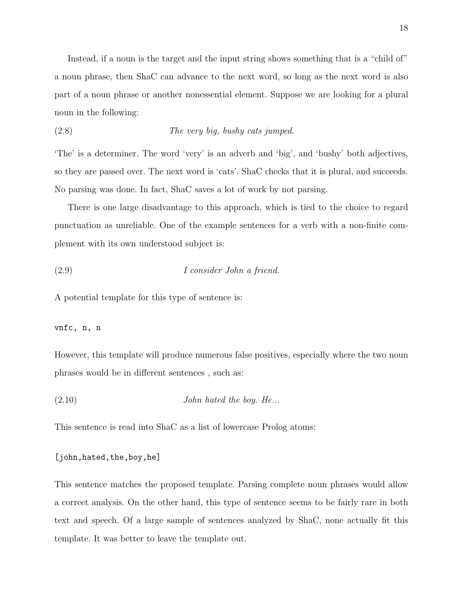Instead, if a noun is the target and the input string shows something that is a "child of" a noun phrase, then ShaC can advance to the next word, so long as the next word is also part of a noun phrase or another nonessential element. Suppose we are looking for a plural noun in the following:

$$
(2.8)
$$
 The very big, bushy cats jumped.

'The' is a determiner. The word 'very' is an adverb and 'big', and 'bushy' both adjectives, so they are passed over. The next word is 'cats'. ShaC checks that it is plural, and succeeds. No parsing was done. In fact, ShaC saves a lot of work by not parsing.

There is one large disadvantage to this approach, which is tied to the choice to regard punctuation as unreliable. One of the example sentences for a verb with a non-finite complement with its own understood subject is:

$$
(2.9) \tI consider John a friend.
$$

A potential template for this type of sentence is:

## vnfc, n, n

However, this template will produce numerous false positives, especially where the two noun phrases would be in different sentences , such as:

 $(2.10)$  John hated the boy. He...

This sentence is read into ShaC as a list of lowercase Prolog atoms:

```
[john,hated,the,boy,he]
```
This sentence matches the proposed template. Parsing complete noun phrases would allow a correct analysis. On the other hand, this type of sentence seems to be fairly rare in both text and speech. Of a large sample of sentences analyzed by ShaC, none actually fit this template. It was better to leave the template out.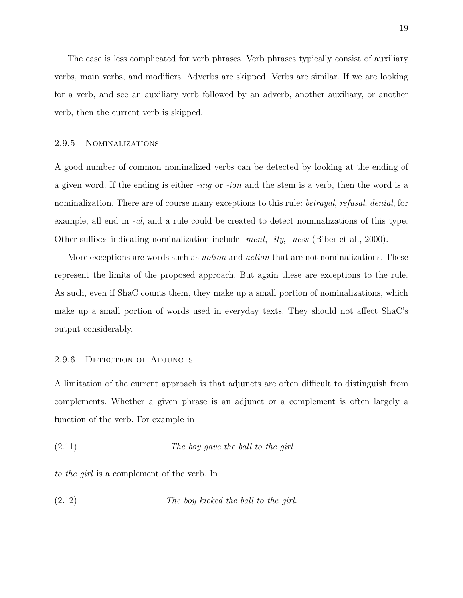The case is less complicated for verb phrases. Verb phrases typically consist of auxiliary verbs, main verbs, and modifiers. Adverbs are skipped. Verbs are similar. If we are looking for a verb, and see an auxiliary verb followed by an adverb, another auxiliary, or another verb, then the current verb is skipped.

#### 2.9.5 Nominalizations

A good number of common nominalized verbs can be detected by looking at the ending of a given word. If the ending is either -ing or -ion and the stem is a verb, then the word is a nominalization. There are of course many exceptions to this rule: *betrayal, refusal, denial*, for example, all end in -al, and a rule could be created to detect nominalizations of this type. Other suffixes indicating nominalization include -ment, -ity, -ness (Biber et al., 2000).

More exceptions are words such as *notion* and *action* that are not nominalizations. These represent the limits of the proposed approach. But again these are exceptions to the rule. As such, even if ShaC counts them, they make up a small portion of nominalizations, which make up a small portion of words used in everyday texts. They should not affect ShaC's output considerably.

#### 2.9.6 DETECTION OF ADJUNCTS

A limitation of the current approach is that adjuncts are often difficult to distinguish from complements. Whether a given phrase is an adjunct or a complement is often largely a function of the verb. For example in

$$
(2.11)
$$
 The boy gave the ball to the girl

to the girl is a complement of the verb. In

$$
(2.12) \t\t The boy kicked the ball to the girl.
$$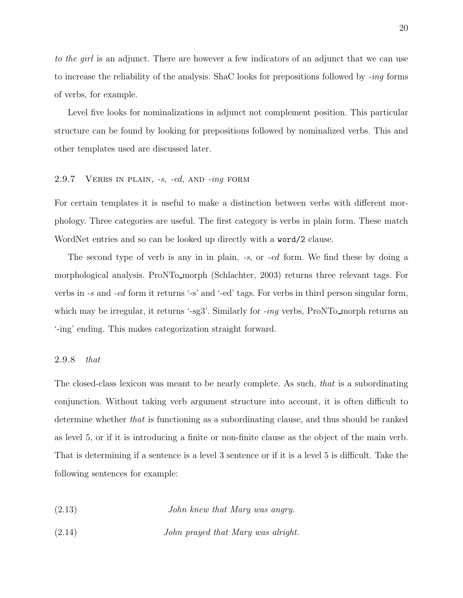to the girl is an adjunct. There are however a few indicators of an adjunct that we can use to increase the reliability of the analysis. ShaC looks for prepositions followed by -ing forms of verbs, for example.

Level five looks for nominalizations in adjunct not complement position. This particular structure can be found by looking for prepositions followed by nominalized verbs. This and other templates used are discussed later.

## 2.9.7 VERBS IN PLAIN, -s, -ed, AND -ing FORM

For certain templates it is useful to make a distinction between verbs with different morphology. Three categories are useful. The first category is verbs in plain form. These match WordNet entries and so can be looked up directly with a **word**/2 clause.

The second type of verb is any in in plain,  $-s$ , or  $-ed$  form. We find these by doing a morphological analysis. ProNTo morph (Schlachter, 2003) returns three relevant tags. For verbs in -s and -ed form it returns '-s' and '-ed' tags. For verbs in third person singular form, which may be irregular, it returns '-sg3'. Similarly for -ing verbs, ProNTo\_morph returns an '-ing' ending. This makes categorization straight forward.

#### 2.9.8 that

The closed-class lexicon was meant to be nearly complete. As such, that is a subordinating conjunction. Without taking verb argument structure into account, it is often difficult to determine whether that is functioning as a subordinating clause, and thus should be ranked as level 5, or if it is introducing a finite or non-finite clause as the object of the main verb. That is determining if a sentence is a level 3 sentence or if it is a level 5 is difficult. Take the following sentences for example:

- (2.13) John knew that Mary was angry.
- (2.14) John prayed that Mary was alright.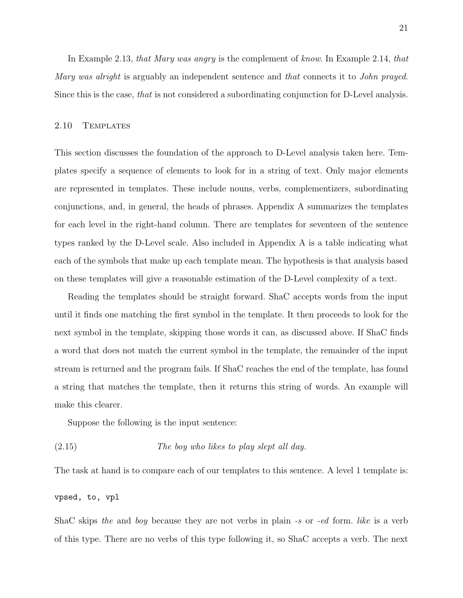In Example 2.13, that Mary was angry is the complement of know. In Example 2.14, that Mary was alright is arguably an independent sentence and that connects it to John prayed. Since this is the case, that is not considered a subordinating conjunction for D-Level analysis.

#### 2.10 Templates

This section discusses the foundation of the approach to D-Level analysis taken here. Templates specify a sequence of elements to look for in a string of text. Only major elements are represented in templates. These include nouns, verbs, complementizers, subordinating conjunctions, and, in general, the heads of phrases. Appendix A summarizes the templates for each level in the right-hand column. There are templates for seventeen of the sentence types ranked by the D-Level scale. Also included in Appendix A is a table indicating what each of the symbols that make up each template mean. The hypothesis is that analysis based on these templates will give a reasonable estimation of the D-Level complexity of a text.

Reading the templates should be straight forward. ShaC accepts words from the input until it finds one matching the first symbol in the template. It then proceeds to look for the next symbol in the template, skipping those words it can, as discussed above. If ShaC finds a word that does not match the current symbol in the template, the remainder of the input stream is returned and the program fails. If ShaC reaches the end of the template, has found a string that matches the template, then it returns this string of words. An example will make this clearer.

Suppose the following is the input sentence:

$$
(2.15)
$$
 The boy who likes to play slept all day.

The task at hand is to compare each of our templates to this sentence. A level 1 template is:

vpsed, to, vpl

ShaC skips the and boy because they are not verbs in plain -s or -ed form. like is a verb of this type. There are no verbs of this type following it, so ShaC accepts a verb. The next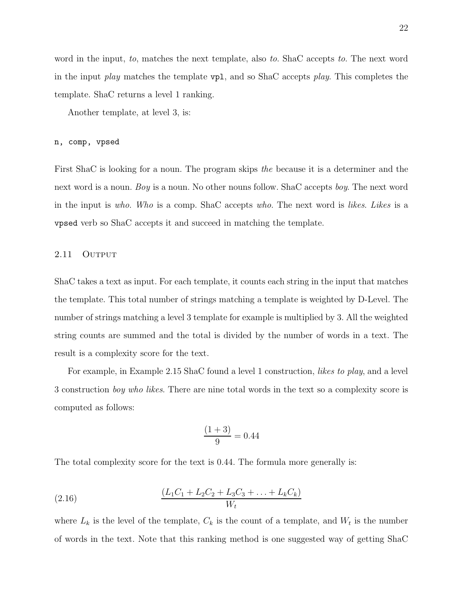word in the input, to, matches the next template, also to. ShaC accepts to. The next word in the input play matches the template  $\nabla \mathbf{p}$ , and so ShaC accepts play. This completes the template. ShaC returns a level 1 ranking.

Another template, at level 3, is:

#### n, comp, vpsed

First ShaC is looking for a noun. The program skips the because it is a determiner and the next word is a noun. Boy is a noun. No other nouns follow. ShaC accepts boy. The next word in the input is who. Who is a comp. ShaC accepts who. The next word is likes. Likes is a vpsed verb so ShaC accepts it and succeed in matching the template.

#### 2.11 OUTPUT

ShaC takes a text as input. For each template, it counts each string in the input that matches the template. This total number of strings matching a template is weighted by D-Level. The number of strings matching a level 3 template for example is multiplied by 3. All the weighted string counts are summed and the total is divided by the number of words in a text. The result is a complexity score for the text.

For example, in Example 2.15 ShaC found a level 1 construction, *likes to play*, and a level 3 construction boy who likes. There are nine total words in the text so a complexity score is computed as follows:

$$
\frac{(1+3)}{9} = 0.44
$$

The total complexity score for the text is 0.44. The formula more generally is:

(2.16) 
$$
\frac{(L_1C_1 + L_2C_2 + L_3C_3 + \ldots + L_kC_k)}{W_t}
$$

where  $L_k$  is the level of the template,  $C_k$  is the count of a template, and  $W_t$  is the number of words in the text. Note that this ranking method is one suggested way of getting ShaC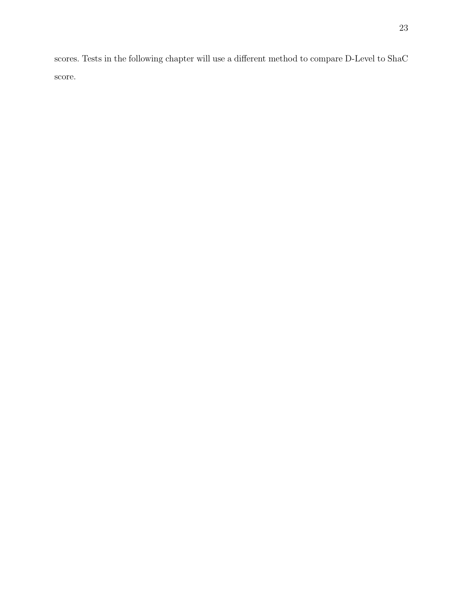scores. Tests in the following chapter will use a different method to compare D-Level to ShaC score.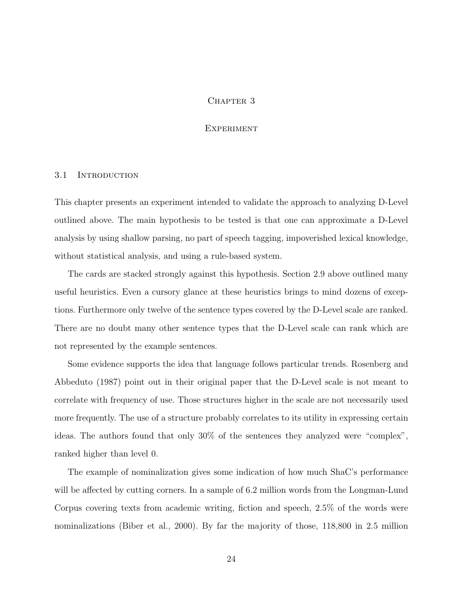### CHAPTER 3

#### **EXPERIMENT**

#### 3.1 INTRODUCTION

This chapter presents an experiment intended to validate the approach to analyzing D-Level outlined above. The main hypothesis to be tested is that one can approximate a D-Level analysis by using shallow parsing, no part of speech tagging, impoverished lexical knowledge, without statistical analysis, and using a rule-based system.

The cards are stacked strongly against this hypothesis. Section 2.9 above outlined many useful heuristics. Even a cursory glance at these heuristics brings to mind dozens of exceptions. Furthermore only twelve of the sentence types covered by the D-Level scale are ranked. There are no doubt many other sentence types that the D-Level scale can rank which are not represented by the example sentences.

Some evidence supports the idea that language follows particular trends. Rosenberg and Abbeduto (1987) point out in their original paper that the D-Level scale is not meant to correlate with frequency of use. Those structures higher in the scale are not necessarily used more frequently. The use of a structure probably correlates to its utility in expressing certain ideas. The authors found that only 30% of the sentences they analyzed were "complex", ranked higher than level 0.

The example of nominalization gives some indication of how much ShaC's performance will be affected by cutting corners. In a sample of 6.2 million words from the Longman-Lund Corpus covering texts from academic writing, fiction and speech, 2.5% of the words were nominalizations (Biber et al., 2000). By far the majority of those, 118,800 in 2.5 million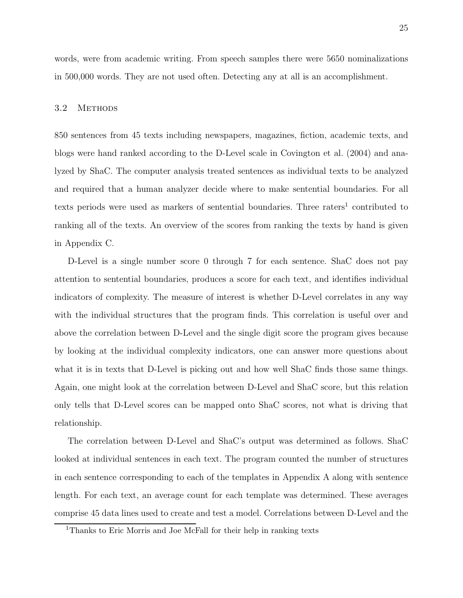words, were from academic writing. From speech samples there were 5650 nominalizations in 500,000 words. They are not used often. Detecting any at all is an accomplishment.

## 3.2 METHODS

850 sentences from 45 texts including newspapers, magazines, fiction, academic texts, and blogs were hand ranked according to the D-Level scale in Covington et al. (2004) and analyzed by ShaC. The computer analysis treated sentences as individual texts to be analyzed and required that a human analyzer decide where to make sentential boundaries. For all texts periods were used as markers of sentential boundaries. Three raters<sup>1</sup> contributed to ranking all of the texts. An overview of the scores from ranking the texts by hand is given in Appendix C.

D-Level is a single number score 0 through 7 for each sentence. ShaC does not pay attention to sentential boundaries, produces a score for each text, and identifies individual indicators of complexity. The measure of interest is whether D-Level correlates in any way with the individual structures that the program finds. This correlation is useful over and above the correlation between D-Level and the single digit score the program gives because by looking at the individual complexity indicators, one can answer more questions about what it is in texts that D-Level is picking out and how well ShaC finds those same things. Again, one might look at the correlation between D-Level and ShaC score, but this relation only tells that D-Level scores can be mapped onto ShaC scores, not what is driving that relationship.

The correlation between D-Level and ShaC's output was determined as follows. ShaC looked at individual sentences in each text. The program counted the number of structures in each sentence corresponding to each of the templates in Appendix A along with sentence length. For each text, an average count for each template was determined. These averages comprise 45 data lines used to create and test a model. Correlations between D-Level and the

<sup>&</sup>lt;sup>1</sup>Thanks to Eric Morris and Joe McFall for their help in ranking texts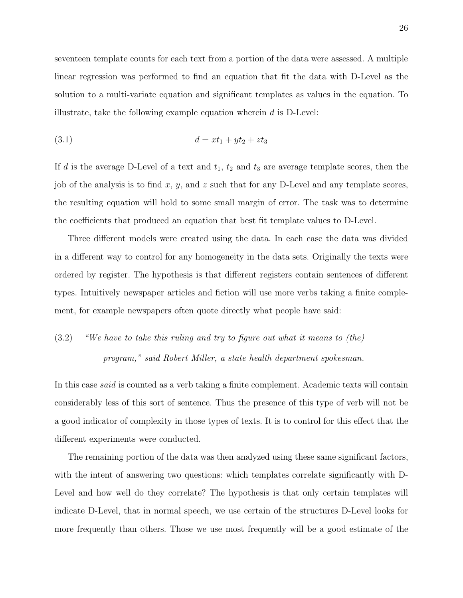seventeen template counts for each text from a portion of the data were assessed. A multiple linear regression was performed to find an equation that fit the data with D-Level as the solution to a multi-variate equation and significant templates as values in the equation. To illustrate, take the following example equation wherein  $d$  is D-Level:

$$
(3.1) \t\t d = xt_1 + yt_2 + zt_3
$$

If d is the average D-Level of a text and  $t_1$ ,  $t_2$  and  $t_3$  are average template scores, then the job of the analysis is to find  $x, y$ , and  $z$  such that for any D-Level and any template scores, the resulting equation will hold to some small margin of error. The task was to determine the coefficients that produced an equation that best fit template values to D-Level.

Three different models were created using the data. In each case the data was divided in a different way to control for any homogeneity in the data sets. Originally the texts were ordered by register. The hypothesis is that different registers contain sentences of different types. Intuitively newspaper articles and fiction will use more verbs taking a finite complement, for example newspapers often quote directly what people have said:

# (3.2) "We have to take this ruling and try to figure out what it means to (the) program," said Robert Miller, a state health department spokesman.

In this case *said* is counted as a verb taking a finite complement. Academic texts will contain considerably less of this sort of sentence. Thus the presence of this type of verb will not be a good indicator of complexity in those types of texts. It is to control for this effect that the different experiments were conducted.

The remaining portion of the data was then analyzed using these same significant factors, with the intent of answering two questions: which templates correlate significantly with D-Level and how well do they correlate? The hypothesis is that only certain templates will indicate D-Level, that in normal speech, we use certain of the structures D-Level looks for more frequently than others. Those we use most frequently will be a good estimate of the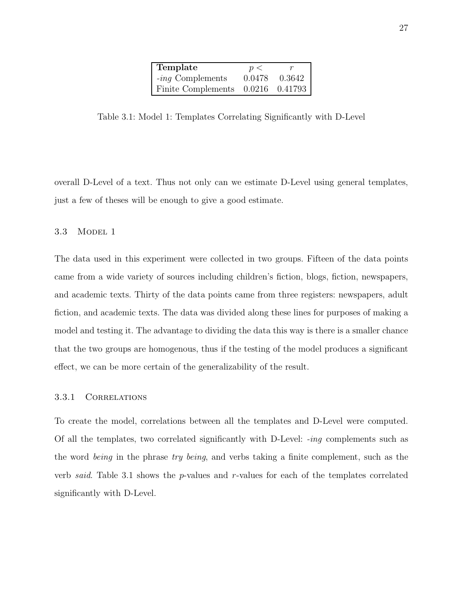| Template             | p <    |         |
|----------------------|--------|---------|
| $-i n g$ Complements | 0.0478 | 0.3642  |
| Finite Complements   | 0.0216 | 0.41793 |

Table 3.1: Model 1: Templates Correlating Significantly with D-Level

overall D-Level of a text. Thus not only can we estimate D-Level using general templates, just a few of theses will be enough to give a good estimate.

#### 3.3 MODEL 1

The data used in this experiment were collected in two groups. Fifteen of the data points came from a wide variety of sources including children's fiction, blogs, fiction, newspapers, and academic texts. Thirty of the data points came from three registers: newspapers, adult fiction, and academic texts. The data was divided along these lines for purposes of making a model and testing it. The advantage to dividing the data this way is there is a smaller chance that the two groups are homogenous, thus if the testing of the model produces a significant effect, we can be more certain of the generalizability of the result.

#### 3.3.1 Correlations

To create the model, correlations between all the templates and D-Level were computed. Of all the templates, two correlated significantly with D-Level: -ing complements such as the word being in the phrase try being, and verbs taking a finite complement, such as the verb said. Table 3.1 shows the p-values and r-values for each of the templates correlated significantly with D-Level.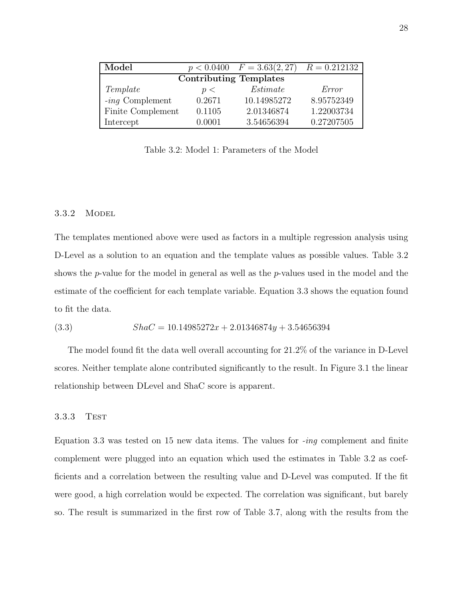| Model                     |        | $p < 0.0400$ $F = 3.63(2, 27)$ | $R = 0.212132$ |
|---------------------------|--------|--------------------------------|----------------|
|                           |        | <b>Contributing Templates</b>  |                |
| Template                  | p <    | Estimate                       | Error          |
| $-$ <i>ing</i> Complement | 0.2671 | 10.14985272                    | 8.95752349     |
| Finite Complement         | 0.1105 | 2.01346874                     | 1.22003734     |
| Intercept                 | Ი ᲘᲘᲘ1 | 3.54656394                     | 0.27207505     |

Table 3.2: Model 1: Parameters of the Model

#### 3.3.2 MODEL

The templates mentioned above were used as factors in a multiple regression analysis using D-Level as a solution to an equation and the template values as possible values. Table 3.2 shows the p-value for the model in general as well as the p-values used in the model and the estimate of the coefficient for each template variable. Equation 3.3 shows the equation found to fit the data.

$$
(3.3) \qquad ShaC = 10.14985272x + 2.01346874y + 3.54656394
$$

The model found fit the data well overall accounting for 21.2% of the variance in D-Level scores. Neither template alone contributed significantly to the result. In Figure 3.1 the linear relationship between DLevel and ShaC score is apparent.

#### 3.3.3 Test

Equation 3.3 was tested on 15 new data items. The values for  $\text{-}ing$  complement and finite complement were plugged into an equation which used the estimates in Table 3.2 as coefficients and a correlation between the resulting value and D-Level was computed. If the fit were good, a high correlation would be expected. The correlation was significant, but barely so. The result is summarized in the first row of Table 3.7, along with the results from the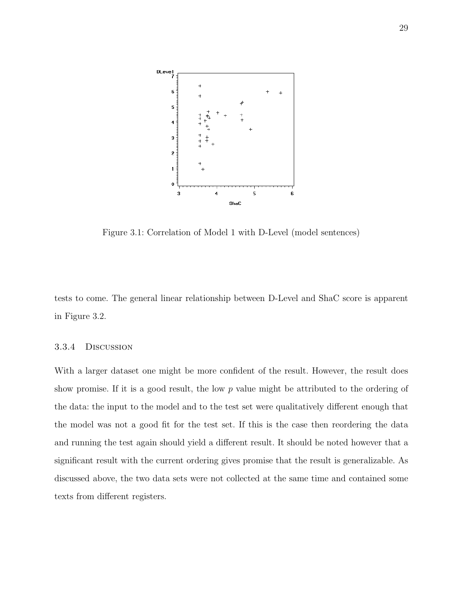

Figure 3.1: Correlation of Model 1 with D-Level (model sentences)

tests to come. The general linear relationship between D-Level and ShaC score is apparent in Figure 3.2.

#### 3.3.4 Discussion

With a larger dataset one might be more confident of the result. However, the result does show promise. If it is a good result, the low p value might be attributed to the ordering of the data: the input to the model and to the test set were qualitatively different enough that the model was not a good fit for the test set. If this is the case then reordering the data and running the test again should yield a different result. It should be noted however that a significant result with the current ordering gives promise that the result is generalizable. As discussed above, the two data sets were not collected at the same time and contained some texts from different registers.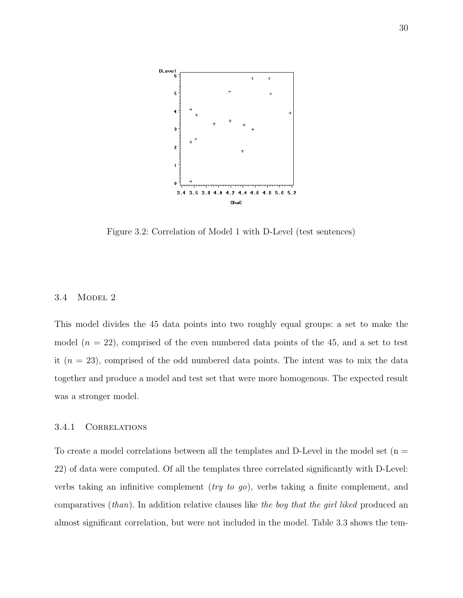

Figure 3.2: Correlation of Model 1 with D-Level (test sentences)

#### 3.4 MODEL 2

This model divides the 45 data points into two roughly equal groups: a set to make the model  $(n = 22)$ , comprised of the even numbered data points of the 45, and a set to test it  $(n = 23)$ , comprised of the odd numbered data points. The intent was to mix the data together and produce a model and test set that were more homogenous. The expected result was a stronger model.

#### 3.4.1 Correlations

To create a model correlations between all the templates and D-Level in the model set  $(n =$ 22) of data were computed. Of all the templates three correlated significantly with D-Level: verbs taking an infinitive complement (try to go), verbs taking a finite complement, and comparatives  $(than)$ . In addition relative clauses like the boy that the girl liked produced an almost significant correlation, but were not included in the model. Table 3.3 shows the tem-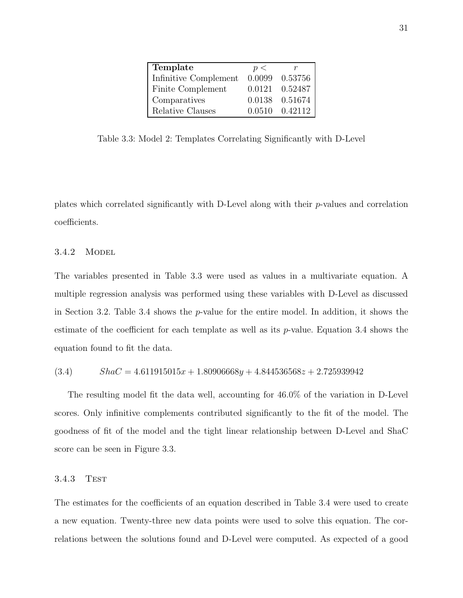| Template              | p <    |                 |
|-----------------------|--------|-----------------|
| Infinitive Complement | 0.0099 | 0.53756         |
| Finite Complement     |        | 0.0121 0.52487  |
| Comparatives          |        | 0.0138  0.51674 |
| Relative Clauses      |        | 0.0510 0.42112  |

Table 3.3: Model 2: Templates Correlating Significantly with D-Level

plates which correlated significantly with D-Level along with their p-values and correlation coefficients.

#### 3.4.2 MODEL

The variables presented in Table 3.3 were used as values in a multivariate equation. A multiple regression analysis was performed using these variables with D-Level as discussed in Section 3.2. Table 3.4 shows the p-value for the entire model. In addition, it shows the estimate of the coefficient for each template as well as its  $p$ -value. Equation 3.4 shows the equation found to fit the data.

$$
(3.4) \qquad ShaC = 4.611915015x + 1.80906668y + 4.844536568z + 2.725939942
$$

The resulting model fit the data well, accounting for 46.0% of the variation in D-Level scores. Only infinitive complements contributed significantly to the fit of the model. The goodness of fit of the model and the tight linear relationship between D-Level and ShaC score can be seen in Figure 3.3.

#### 3.4.3 Test

The estimates for the coefficients of an equation described in Table 3.4 were used to create a new equation. Twenty-three new data points were used to solve this equation. The correlations between the solutions found and D-Level were computed. As expected of a good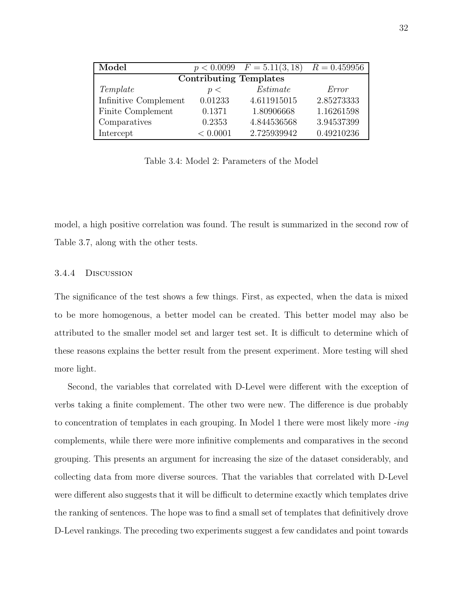| Model                         |          | $\overline{p}$ < 0.0099 $F = 5.11(3, 18)$ | $R = 0.459956$ |  |  |  |  |  |
|-------------------------------|----------|-------------------------------------------|----------------|--|--|--|--|--|
| <b>Contributing Templates</b> |          |                                           |                |  |  |  |  |  |
| Template                      | p <      | Estimate                                  | Error          |  |  |  |  |  |
| Infinitive Complement         | 0.01233  | 4.611915015                               | 2.85273333     |  |  |  |  |  |
| Finite Complement             | 0.1371   | 1.80906668                                | 1.16261598     |  |  |  |  |  |
| Comparatives                  | 0.2353   | 4.844536568                               | 3.94537399     |  |  |  |  |  |
| Intercept                     | < 0.0001 | 2.725939942                               | 0.49210236     |  |  |  |  |  |

Table 3.4: Model 2: Parameters of the Model

model, a high positive correlation was found. The result is summarized in the second row of Table 3.7, along with the other tests.

#### 3.4.4 Discussion

The significance of the test shows a few things. First, as expected, when the data is mixed to be more homogenous, a better model can be created. This better model may also be attributed to the smaller model set and larger test set. It is difficult to determine which of these reasons explains the better result from the present experiment. More testing will shed more light.

Second, the variables that correlated with D-Level were different with the exception of verbs taking a finite complement. The other two were new. The difference is due probably to concentration of templates in each grouping. In Model 1 there were most likely more -ing complements, while there were more infinitive complements and comparatives in the second grouping. This presents an argument for increasing the size of the dataset considerably, and collecting data from more diverse sources. That the variables that correlated with D-Level were different also suggests that it will be difficult to determine exactly which templates drive the ranking of sentences. The hope was to find a small set of templates that definitively drove D-Level rankings. The preceding two experiments suggest a few candidates and point towards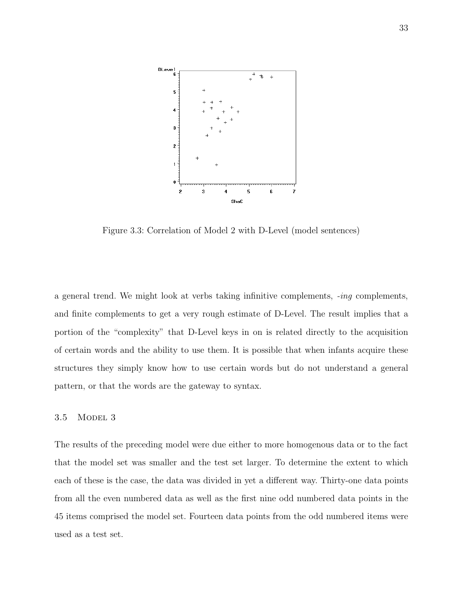

Figure 3.3: Correlation of Model 2 with D-Level (model sentences)

a general trend. We might look at verbs taking infinitive complements, -ing complements, and finite complements to get a very rough estimate of D-Level. The result implies that a portion of the "complexity" that D-Level keys in on is related directly to the acquisition of certain words and the ability to use them. It is possible that when infants acquire these structures they simply know how to use certain words but do not understand a general pattern, or that the words are the gateway to syntax.

#### 3.5 MODEL 3

The results of the preceding model were due either to more homogenous data or to the fact that the model set was smaller and the test set larger. To determine the extent to which each of these is the case, the data was divided in yet a different way. Thirty-one data points from all the even numbered data as well as the first nine odd numbered data points in the 45 items comprised the model set. Fourteen data points from the odd numbered items were used as a test set.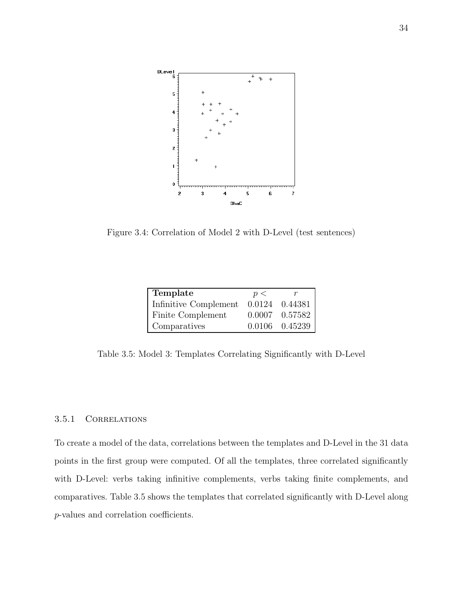

Figure 3.4: Correlation of Model 2 with D-Level (test sentences)

| Template              | p<     |                |
|-----------------------|--------|----------------|
| Infinitive Complement | 0.0124 | 0.44381        |
| Finite Complement     |        | 0.0007 0.57582 |
| Comparatives          |        | 0.0106 0.45239 |
|                       |        |                |

Table 3.5: Model 3: Templates Correlating Significantly with D-Level

## 3.5.1 Correlations

To create a model of the data, correlations between the templates and D-Level in the 31 data points in the first group were computed. Of all the templates, three correlated significantly with D-Level: verbs taking infinitive complements, verbs taking finite complements, and comparatives. Table 3.5 shows the templates that correlated significantly with D-Level along p-values and correlation coefficients.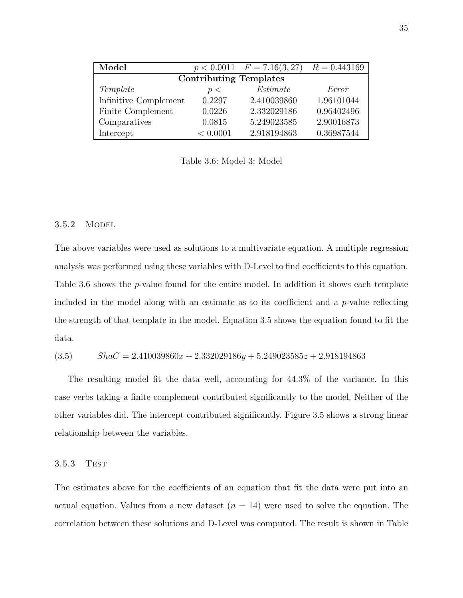| Model                         |          | $p < 0.0011$ $F = 7.16(3, 27)$ | $R = 0.443169$ |  |  |  |  |  |
|-------------------------------|----------|--------------------------------|----------------|--|--|--|--|--|
| <b>Contributing Templates</b> |          |                                |                |  |  |  |  |  |
| Template                      | p <      | Estimate                       | Error          |  |  |  |  |  |
| Infinitive Complement         | 0.2297   | 2.410039860                    | 1.96101044     |  |  |  |  |  |
| Finite Complement             | 0.0226   | 2.332029186                    | 0.96402496     |  |  |  |  |  |
| Comparatives                  | 0.0815   | 5.249023585                    | 2.90016873     |  |  |  |  |  |
| Intercept                     | < 0.0001 | 2.918194863                    | 0.36987544     |  |  |  |  |  |

Table 3.6: Model 3: Model

#### 3.5.2 MODEL

The above variables were used as solutions to a multivariate equation. A multiple regression analysis was performed using these variables with D-Level to find coefficients to this equation. Table 3.6 shows the *p*-value found for the entire model. In addition it shows each template included in the model along with an estimate as to its coefficient and a  $p$ -value reflecting the strength of that template in the model. Equation 3.5 shows the equation found to fit the data.

$$
(3.5) \qquad ShaC = 2.410039860x + 2.332029186y + 5.249023585z + 2.918194863
$$

The resulting model fit the data well, accounting for 44.3% of the variance. In this case verbs taking a finite complement contributed significantly to the model. Neither of the other variables did. The intercept contributed significantly. Figure 3.5 shows a strong linear relationship between the variables.

#### 3.5.3 Test

The estimates above for the coefficients of an equation that fit the data were put into an actual equation. Values from a new dataset  $(n = 14)$  were used to solve the equation. The correlation between these solutions and D-Level was computed. The result is shown in Table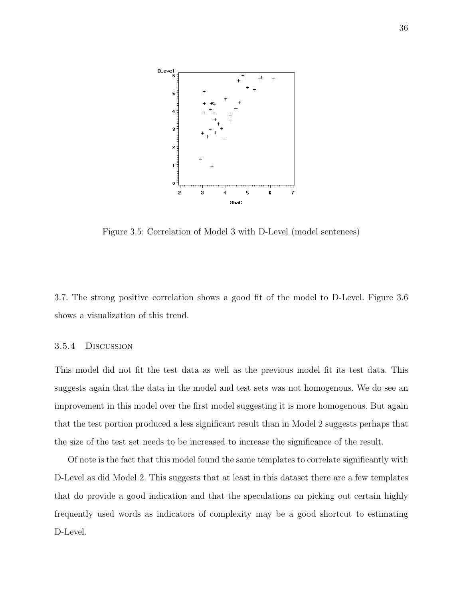

Figure 3.5: Correlation of Model 3 with D-Level (model sentences)

3.7. The strong positive correlation shows a good fit of the model to D-Level. Figure 3.6 shows a visualization of this trend.

#### 3.5.4 Discussion

This model did not fit the test data as well as the previous model fit its test data. This suggests again that the data in the model and test sets was not homogenous. We do see an improvement in this model over the first model suggesting it is more homogenous. But again that the test portion produced a less significant result than in Model 2 suggests perhaps that the size of the test set needs to be increased to increase the significance of the result.

Of note is the fact that this model found the same templates to correlate significantly with D-Level as did Model 2. This suggests that at least in this dataset there are a few templates that do provide a good indication and that the speculations on picking out certain highly frequently used words as indicators of complexity may be a good shortcut to estimating D-Level.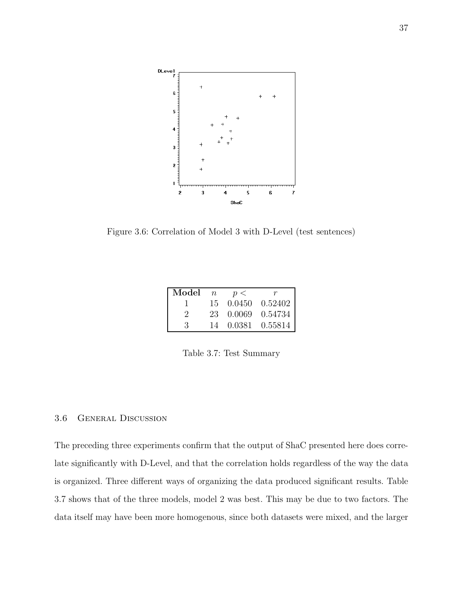

Figure 3.6: Correlation of Model 3 with D-Level (test sentences)

| Model $n \leq p$ |  | $r_{-}$                                                                         |
|------------------|--|---------------------------------------------------------------------------------|
|                  |  | 15  0.0450  0.52402                                                             |
| $\mathcal{L}$    |  | $\begin{array}{ccc} 23 & 0.0069 & 0.54734 \\ 14 & 0.0381 & 0.55814 \end{array}$ |
| -3-              |  |                                                                                 |

Table 3.7: Test Summary

#### 3.6 General Discussion

The preceding three experiments confirm that the output of ShaC presented here does correlate significantly with D-Level, and that the correlation holds regardless of the way the data is organized. Three different ways of organizing the data produced significant results. Table 3.7 shows that of the three models, model 2 was best. This may be due to two factors. The data itself may have been more homogenous, since both datasets were mixed, and the larger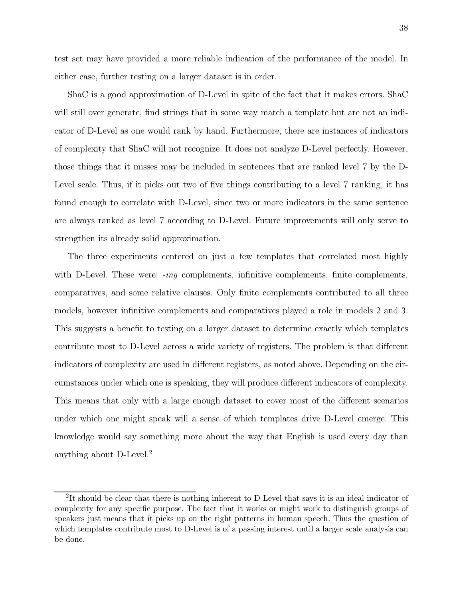test set may have provided a more reliable indication of the performance of the model. In either case, further testing on a larger dataset is in order.

ShaC is a good approximation of D-Level in spite of the fact that it makes errors. ShaC will still over generate, find strings that in some way match a template but are not an indicator of D-Level as one would rank by hand. Furthermore, there are instances of indicators of complexity that ShaC will not recognize. It does not analyze D-Level perfectly. However, those things that it misses may be included in sentences that are ranked level 7 by the D-Level scale. Thus, if it picks out two of five things contributing to a level 7 ranking, it has found enough to correlate with D-Level, since two or more indicators in the same sentence are always ranked as level 7 according to D-Level. Future improvements will only serve to strengthen its already solid approximation.

The three experiments centered on just a few templates that correlated most highly with D-Level. These were:  $-i n q$  complements, infinitive complements, finite complements, comparatives, and some relative clauses. Only finite complements contributed to all three models, however infinitive complements and comparatives played a role in models 2 and 3. This suggests a benefit to testing on a larger dataset to determine exactly which templates contribute most to D-Level across a wide variety of registers. The problem is that different indicators of complexity are used in different registers, as noted above. Depending on the circumstances under which one is speaking, they will produce different indicators of complexity. This means that only with a large enough dataset to cover most of the different scenarios under which one might speak will a sense of which templates drive D-Level emerge. This knowledge would say something more about the way that English is used every day than anything about D-Level.<sup>2</sup>

<sup>&</sup>lt;sup>2</sup>It should be clear that there is nothing inherent to D-Level that says it is an ideal indicator of complexity for any specific purpose. The fact that it works or might work to distinguish groups of speakers just means that it picks up on the right patterns in human speech. Thus the question of which templates contribute most to D-Level is of a passing interest until a larger scale analysis can be done.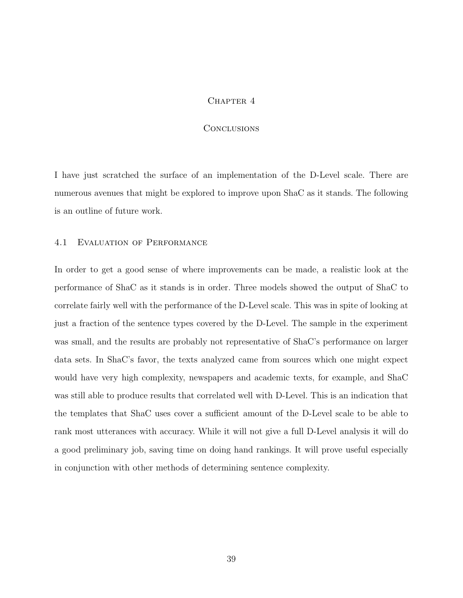#### CHAPTER 4

#### **CONCLUSIONS**

I have just scratched the surface of an implementation of the D-Level scale. There are numerous avenues that might be explored to improve upon ShaC as it stands. The following is an outline of future work.

#### 4.1 Evaluation of Performance

In order to get a good sense of where improvements can be made, a realistic look at the performance of ShaC as it stands is in order. Three models showed the output of ShaC to correlate fairly well with the performance of the D-Level scale. This was in spite of looking at just a fraction of the sentence types covered by the D-Level. The sample in the experiment was small, and the results are probably not representative of ShaC's performance on larger data sets. In ShaC's favor, the texts analyzed came from sources which one might expect would have very high complexity, newspapers and academic texts, for example, and ShaC was still able to produce results that correlated well with D-Level. This is an indication that the templates that ShaC uses cover a sufficient amount of the D-Level scale to be able to rank most utterances with accuracy. While it will not give a full D-Level analysis it will do a good preliminary job, saving time on doing hand rankings. It will prove useful especially in conjunction with other methods of determining sentence complexity.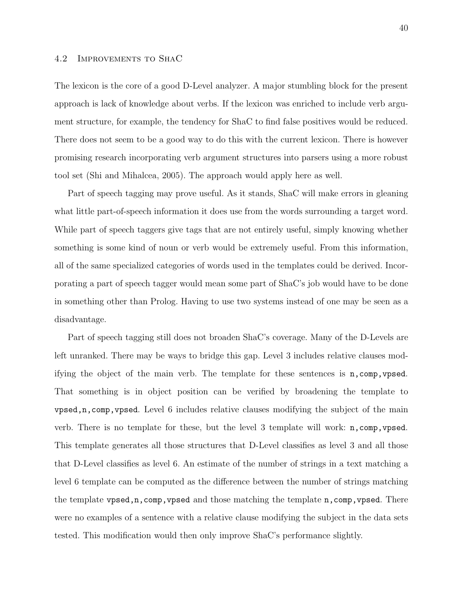#### 4.2 Improvements to ShaC

The lexicon is the core of a good D-Level analyzer. A major stumbling block for the present approach is lack of knowledge about verbs. If the lexicon was enriched to include verb argument structure, for example, the tendency for ShaC to find false positives would be reduced. There does not seem to be a good way to do this with the current lexicon. There is however promising research incorporating verb argument structures into parsers using a more robust tool set (Shi and Mihalcea, 2005). The approach would apply here as well.

Part of speech tagging may prove useful. As it stands, ShaC will make errors in gleaning what little part-of-speech information it does use from the words surrounding a target word. While part of speech taggers give tags that are not entirely useful, simply knowing whether something is some kind of noun or verb would be extremely useful. From this information, all of the same specialized categories of words used in the templates could be derived. Incorporating a part of speech tagger would mean some part of ShaC's job would have to be done in something other than Prolog. Having to use two systems instead of one may be seen as a disadvantage.

Part of speech tagging still does not broaden ShaC's coverage. Many of the D-Levels are left unranked. There may be ways to bridge this gap. Level 3 includes relative clauses modifying the object of the main verb. The template for these sentences is n,comp,vpsed. That something is in object position can be verified by broadening the template to vpsed,n,comp,vpsed. Level 6 includes relative clauses modifying the subject of the main verb. There is no template for these, but the level 3 template will work: n,comp,vpsed. This template generates all those structures that D-Level classifies as level 3 and all those that D-Level classifies as level 6. An estimate of the number of strings in a text matching a level 6 template can be computed as the difference between the number of strings matching the template vpsed,n,comp,vpsed and those matching the template n,comp,vpsed. There were no examples of a sentence with a relative clause modifying the subject in the data sets tested. This modification would then only improve ShaC's performance slightly.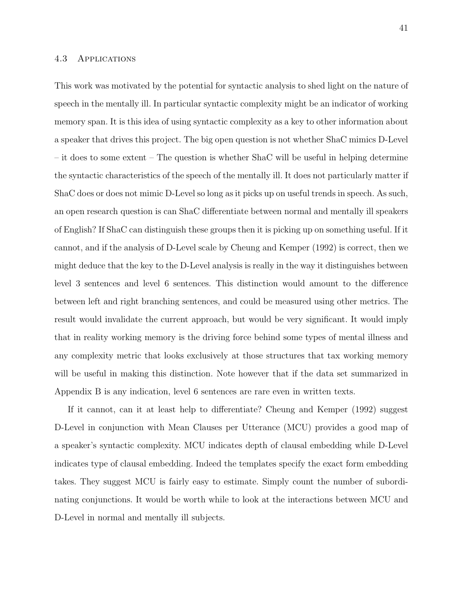#### 4.3 Applications

This work was motivated by the potential for syntactic analysis to shed light on the nature of speech in the mentally ill. In particular syntactic complexity might be an indicator of working memory span. It is this idea of using syntactic complexity as a key to other information about a speaker that drives this project. The big open question is not whether ShaC mimics D-Level – it does to some extent – The question is whether ShaC will be useful in helping determine the syntactic characteristics of the speech of the mentally ill. It does not particularly matter if ShaC does or does not mimic D-Level so long as it picks up on useful trends in speech. As such, an open research question is can ShaC differentiate between normal and mentally ill speakers of English? If ShaC can distinguish these groups then it is picking up on something useful. If it cannot, and if the analysis of D-Level scale by Cheung and Kemper (1992) is correct, then we might deduce that the key to the D-Level analysis is really in the way it distinguishes between level 3 sentences and level 6 sentences. This distinction would amount to the difference between left and right branching sentences, and could be measured using other metrics. The result would invalidate the current approach, but would be very significant. It would imply that in reality working memory is the driving force behind some types of mental illness and any complexity metric that looks exclusively at those structures that tax working memory will be useful in making this distinction. Note however that if the data set summarized in Appendix B is any indication, level 6 sentences are rare even in written texts.

If it cannot, can it at least help to differentiate? Cheung and Kemper (1992) suggest D-Level in conjunction with Mean Clauses per Utterance (MCU) provides a good map of a speaker's syntactic complexity. MCU indicates depth of clausal embedding while D-Level indicates type of clausal embedding. Indeed the templates specify the exact form embedding takes. They suggest MCU is fairly easy to estimate. Simply count the number of subordinating conjunctions. It would be worth while to look at the interactions between MCU and D-Level in normal and mentally ill subjects.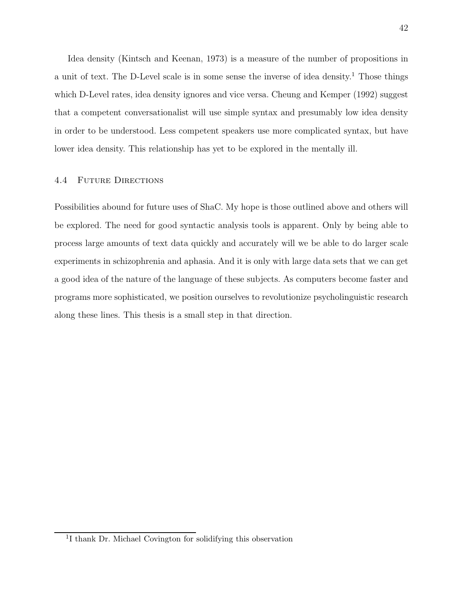Idea density (Kintsch and Keenan, 1973) is a measure of the number of propositions in a unit of text. The D-Level scale is in some sense the inverse of idea density.<sup>1</sup> Those things which D-Level rates, idea density ignores and vice versa. Cheung and Kemper (1992) suggest that a competent conversationalist will use simple syntax and presumably low idea density in order to be understood. Less competent speakers use more complicated syntax, but have lower idea density. This relationship has yet to be explored in the mentally ill.

#### 4.4 Future Directions

Possibilities abound for future uses of ShaC. My hope is those outlined above and others will be explored. The need for good syntactic analysis tools is apparent. Only by being able to process large amounts of text data quickly and accurately will we be able to do larger scale experiments in schizophrenia and aphasia. And it is only with large data sets that we can get a good idea of the nature of the language of these subjects. As computers become faster and programs more sophisticated, we position ourselves to revolutionize psycholinguistic research along these lines. This thesis is a small step in that direction.

<sup>1</sup> I thank Dr. Michael Covington for solidifying this observation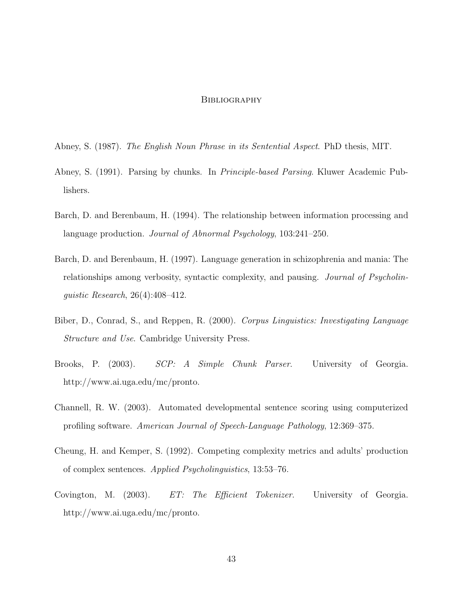#### **BIBLIOGRAPHY**

- Abney, S. (1987). The English Noun Phrase in its Sentential Aspect. PhD thesis, MIT.
- Abney, S. (1991). Parsing by chunks. In Principle-based Parsing. Kluwer Academic Publishers.
- Barch, D. and Berenbaum, H. (1994). The relationship between information processing and language production. Journal of Abnormal Psychology, 103:241–250.
- Barch, D. and Berenbaum, H. (1997). Language generation in schizophrenia and mania: The relationships among verbosity, syntactic complexity, and pausing. Journal of Psycholinguistic Research, 26(4):408–412.
- Biber, D., Conrad, S., and Reppen, R. (2000). Corpus Linguistics: Investigating Language Structure and Use. Cambridge University Press.
- Brooks, P. (2003). SCP: A Simple Chunk Parser. University of Georgia. http://www.ai.uga.edu/mc/pronto.
- Channell, R. W. (2003). Automated developmental sentence scoring using computerized profiling software. American Journal of Speech-Language Pathology, 12:369–375.
- Cheung, H. and Kemper, S. (1992). Competing complexity metrics and adults' production of complex sentences. Applied Psycholinguistics, 13:53–76.
- Covington, M. (2003). ET: The Efficient Tokenizer. University of Georgia. http://www.ai.uga.edu/mc/pronto.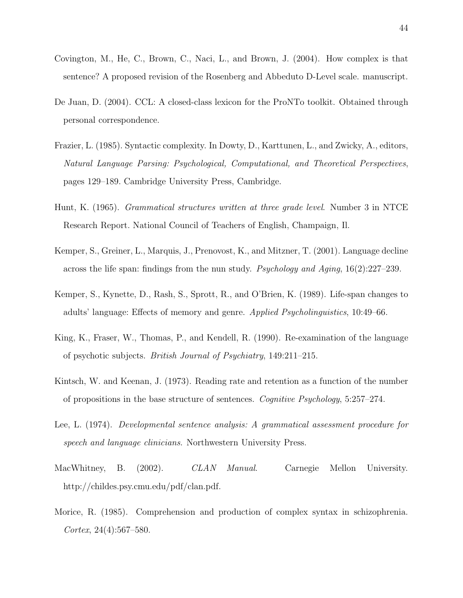- Covington, M., He, C., Brown, C., Naci, L., and Brown, J. (2004). How complex is that sentence? A proposed revision of the Rosenberg and Abbeduto D-Level scale. manuscript.
- De Juan, D. (2004). CCL: A closed-class lexicon for the ProNTo toolkit. Obtained through personal correspondence.
- Frazier, L. (1985). Syntactic complexity. In Dowty, D., Karttunen, L., and Zwicky, A., editors, Natural Language Parsing: Psychological, Computational, and Theoretical Perspectives, pages 129–189. Cambridge University Press, Cambridge.
- Hunt, K. (1965). Grammatical structures written at three grade level. Number 3 in NTCE Research Report. National Council of Teachers of English, Champaign, Il.
- Kemper, S., Greiner, L., Marquis, J., Prenovost, K., and Mitzner, T. (2001). Language decline across the life span: findings from the nun study. Psychology and Aging, 16(2):227–239.
- Kemper, S., Kynette, D., Rash, S., Sprott, R., and O'Brien, K. (1989). Life-span changes to adults' language: Effects of memory and genre. Applied Psycholinguistics, 10:49–66.
- King, K., Fraser, W., Thomas, P., and Kendell, R. (1990). Re-examination of the language of psychotic subjects. British Journal of Psychiatry, 149:211–215.
- Kintsch, W. and Keenan, J. (1973). Reading rate and retention as a function of the number of propositions in the base structure of sentences. Cognitive Psychology, 5:257–274.
- Lee, L. (1974). Developmental sentence analysis: A grammatical assessment procedure for speech and language clinicians. Northwestern University Press.
- MacWhitney, B. (2002). CLAN Manual. Carnegie Mellon University. http://childes.psy.cmu.edu/pdf/clan.pdf.
- Morice, R. (1985). Comprehension and production of complex syntax in schizophrenia. Cortex, 24(4):567–580.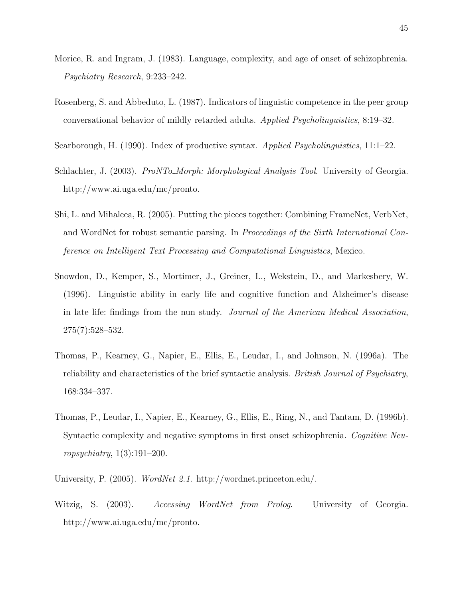- Morice, R. and Ingram, J. (1983). Language, complexity, and age of onset of schizophrenia. Psychiatry Research, 9:233–242.
- Rosenberg, S. and Abbeduto, L. (1987). Indicators of linguistic competence in the peer group conversational behavior of mildly retarded adults. Applied Psycholinguistics, 8:19–32.
- Scarborough, H. (1990). Index of productive syntax. Applied Psycholinguistics, 11:1–22.
- Schlachter, J. (2003). *ProNTo\_Morph: Morphological Analysis Tool.* University of Georgia. http://www.ai.uga.edu/mc/pronto.
- Shi, L. and Mihalcea, R. (2005). Putting the pieces together: Combining FrameNet, VerbNet, and WordNet for robust semantic parsing. In Proceedings of the Sixth International Conference on Intelligent Text Processing and Computational Linguistics, Mexico.
- Snowdon, D., Kemper, S., Mortimer, J., Greiner, L., Wekstein, D., and Markesbery, W. (1996). Linguistic ability in early life and cognitive function and Alzheimer's disease in late life: findings from the nun study. Journal of the American Medical Association, 275(7):528–532.
- Thomas, P., Kearney, G., Napier, E., Ellis, E., Leudar, I., and Johnson, N. (1996a). The reliability and characteristics of the brief syntactic analysis. British Journal of Psychiatry, 168:334–337.
- Thomas, P., Leudar, I., Napier, E., Kearney, G., Ellis, E., Ring, N., and Tantam, D. (1996b). Syntactic complexity and negative symptoms in first onset schizophrenia. Cognitive Neuropsychiatry,  $1(3):191-200$ .
- University, P. (2005). WordNet 2.1. http://wordnet.princeton.edu/.
- Witzig, S. (2003). Accessing WordNet from Prolog. University of Georgia. http://www.ai.uga.edu/mc/pronto.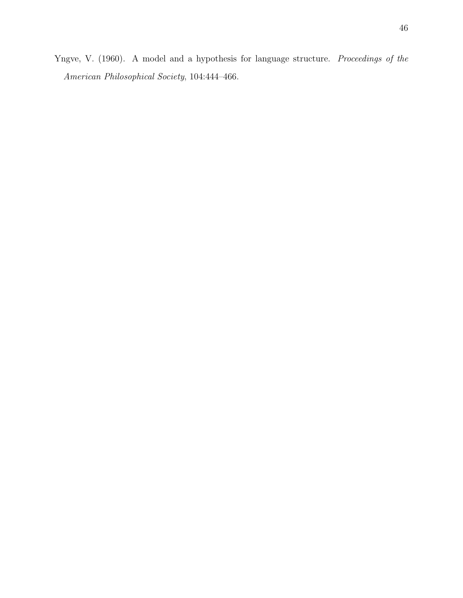Yngve, V. (1960). A model and a hypothesis for language structure. Proceedings of the American Philosophical Society, 104:444–466.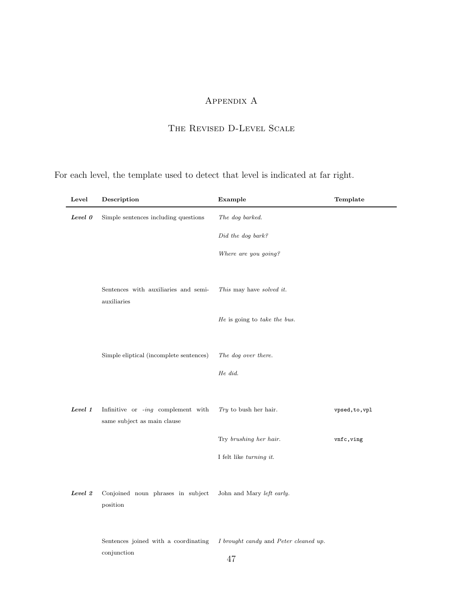## Appendix A

## The Revised D-Level Scale

For each level, the template used to detect that level is indicated at far right.

| Level   | Description                                         | Example                               | Template       |
|---------|-----------------------------------------------------|---------------------------------------|----------------|
| Level 0 | Simple sentences including questions                | The dog barked.                       |                |
|         |                                                     | Did the dog bark?                     |                |
|         |                                                     | Where are you going?                  |                |
|         |                                                     |                                       |                |
|         | Sentences with auxiliaries and semi-<br>auxiliaries | This may have solved it.              |                |
|         |                                                     | He is going to take the bus.          |                |
|         |                                                     |                                       |                |
|         | Simple eliptical (incomplete sentences)             | The dog over there.                   |                |
|         |                                                     | He did.                               |                |
|         |                                                     |                                       |                |
| Level 1 | Infinitive or -ing complement with                  | Try to bush her hair.                 | vpsed, to, vpl |
|         | same subject as main clause                         | Try brushing her hair.                | vnfc, ving     |
|         |                                                     | I felt like turning it.               |                |
|         |                                                     |                                       |                |
| Level 2 | Conjoined noun phrases in subject                   | John and Mary left early.             |                |
|         | position                                            |                                       |                |
|         |                                                     |                                       |                |
|         | Sentences joined with a coordinating<br>conjunction | I brought candy and Peter cleaned up. |                |
|         |                                                     | 47                                    |                |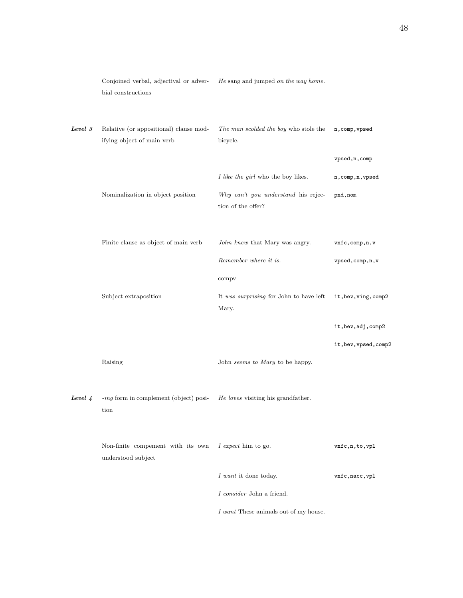|         | Conjoined verbal, adjectival or adver-<br>bial constructions         | He sang and jumped on the way home.                       |                       |
|---------|----------------------------------------------------------------------|-----------------------------------------------------------|-----------------------|
| Level 3 | Relative (or appositional) clause mod-<br>ifying object of main verb | The man scolded the boy who stole the<br>bicycle.         | n, comp, vpsed        |
|         |                                                                      |                                                           | vpsed, n, comp        |
|         |                                                                      | I like the girl who the boy likes.                        | n, comp, n, vpsed     |
|         | Nominalization in object position                                    | Why can't you understand his rejec-<br>tion of the offer? | pnd, nom              |
|         | Finite clause as object of main verb                                 | John knew that Mary was angry.                            | vnfc, comp, n, v      |
|         |                                                                      | Remember where it is.                                     | vpsed, comp, n, v     |
|         |                                                                      | compv                                                     |                       |
|         | Subject extraposition                                                | It was surprising for John to have left<br>Mary.          | it, bev, ving, comp2  |
|         |                                                                      |                                                           | it, bev, adj, comp2   |
|         |                                                                      |                                                           | it, bev, vpsed, comp2 |
|         | Raising                                                              | John seems to Mary to be happy.                           |                       |
| Level 4 | -ing form in complement (object) posi-<br>tion                       | He loves visiting his grandfather.                        |                       |
|         | Non-finite compement with its own<br>understood subject              | I expect him to go.                                       | vnfc, n, to, vpl      |
|         |                                                                      | I want it done today.                                     | vnfc, nacc, vpl       |
|         |                                                                      | I consider John a friend.                                 |                       |
|         |                                                                      | I want These animals out of my house.                     |                       |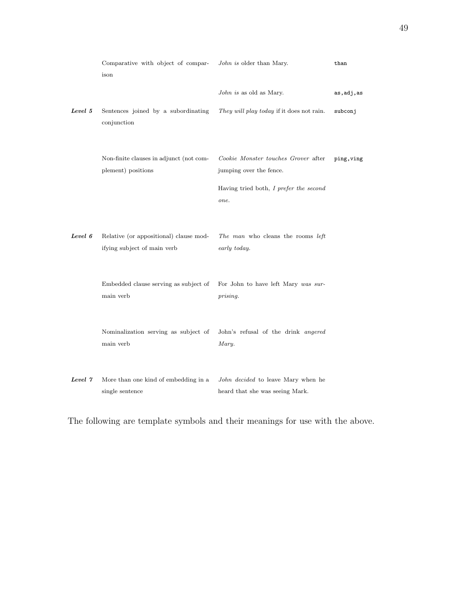|         | Comparative with object of compar-<br>ison                            | John is older than Mary.                                                                                         | than        |
|---------|-----------------------------------------------------------------------|------------------------------------------------------------------------------------------------------------------|-------------|
|         |                                                                       | John is as old as Mary.                                                                                          | as, adj, as |
| Level 5 | Sentences joined by a subordinating<br>conjunction                    | They will play today if it does not rain.                                                                        | subconj     |
|         | Non-finite clauses in adjunct (not com-<br>plement) positions         | Cookie Monster touches Grover after<br>jumping over the fence.<br>Having tried both, I prefer the second<br>one. | ping, ving  |
| Level 6 | Relative (or appositional) clause mod-<br>ifying subject of main verb | The man who cleans the rooms left<br>early today.                                                                |             |
|         | Embedded clause serving as subject of<br>main verb                    | For John to have left Mary was sur-<br>prising.                                                                  |             |
|         | Nominalization serving as subject of<br>main verb                     | John's refusal of the drink angered<br>Mary.                                                                     |             |
| Level 7 | More than one kind of embedding in a<br>single sentence               | John decided to leave Mary when he<br>heard that she was seeing Mark.                                            |             |

The following are template symbols and their meanings for use with the above.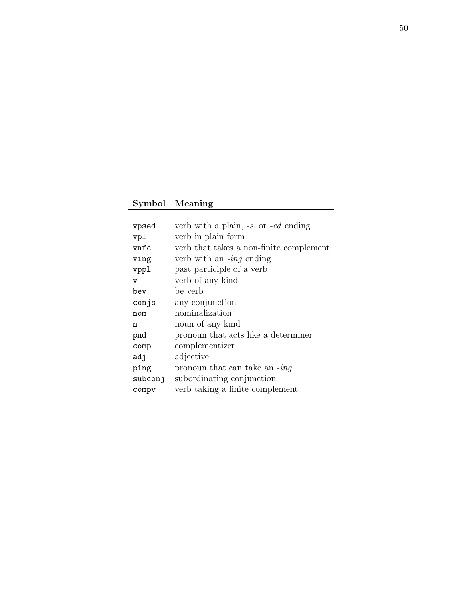## Symbol Meaning

| vpsed   | verb with a plain, $-s$ , or $-ed$ ending |
|---------|-------------------------------------------|
| vpl     | verb in plain form                        |
| vnfc    | verb that takes a non-finite complement   |
| ving    | verb with an $-i n q$ ending              |
| vppl    | past participle of a verb                 |
| v       | verb of any kind                          |
| bev     | be verb                                   |
| conjs   | any conjunction                           |
| nom     | nominalization                            |
| n       | noun of any kind                          |
| pnd     | pronoun that acts like a determiner       |
| comp    | complementizer                            |
| adj     | adjective                                 |
| ping    | pronoun that can take an $-i n g$         |
| subconj | subordinating conjunction                 |
| compv   | verb taking a finite complement           |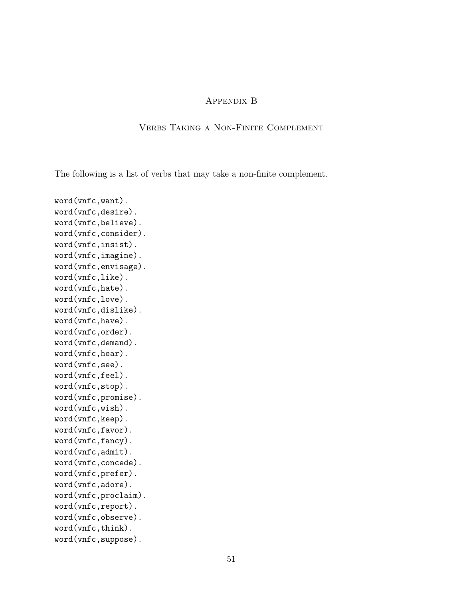## Appendix B

## Verbs Taking a Non-Finite Complement

The following is a list of verbs that may take a non-finite complement.

word(vnfc,want). word(vnfc,desire). word(vnfc,believe). word(vnfc,consider). word(vnfc,insist). word(vnfc,imagine). word(vnfc,envisage). word(vnfc,like). word(vnfc,hate). word(vnfc,love). word(vnfc,dislike). word(vnfc,have). word(vnfc,order). word(vnfc,demand). word(vnfc,hear). word(vnfc,see). word(vnfc,feel). word(vnfc,stop). word(vnfc,promise). word(vnfc,wish). word(vnfc,keep). word(vnfc,favor). word(vnfc,fancy). word(vnfc,admit). word(vnfc,concede). word(vnfc,prefer). word(vnfc,adore). word(vnfc,proclaim). word(vnfc,report). word(vnfc,observe). word(vnfc,think). word(vnfc,suppose).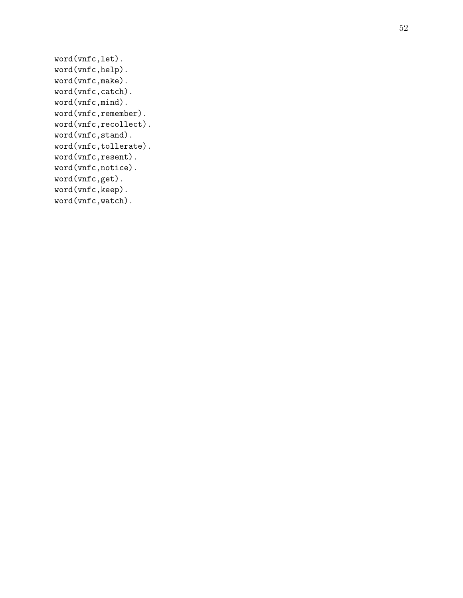```
word(vnfc,let).
word(vnfc,help).
word(vnfc,make).
word(vnfc,catch).
word(vnfc,mind).
word(vnfc,remember).
word(vnfc,recollect).
word(vnfc,stand).
word(vnfc,tollerate).
word(vnfc,resent).
word(vnfc,notice).
word(vnfc,get).
word(vnfc,keep).
word(vnfc,watch).
```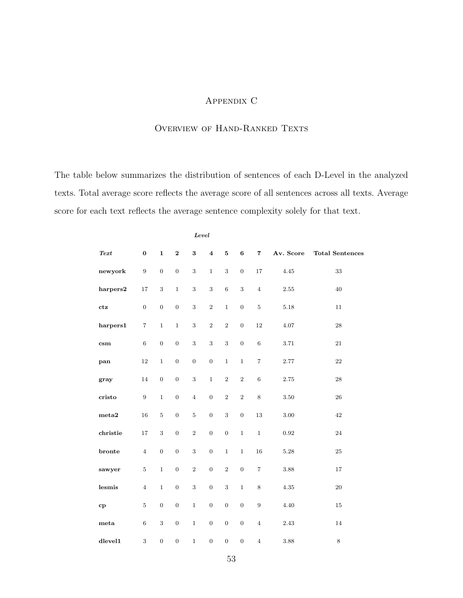## Appendix C

## OVERVIEW OF HAND-RANKED TEXTS

The table below summarizes the distribution of sentences of each D-Level in the analyzed texts. Total average score reflects the average score of all sentences across all texts. Average score for each text reflects the average sentence complexity solely for that text.

|                |                  | Level            |                  |                  |                  |                         |                  |                  |           |                        |
|----------------|------------------|------------------|------------------|------------------|------------------|-------------------------|------------------|------------------|-----------|------------------------|
| Text           | $\pmb{0}$        | $\mathbf{1}$     | $\bf 2$          | $\bf{3}$         | $\boldsymbol{4}$ | ${\bf 5}$               | $\bf 6$          | $\overline{7}$   | Av. Score | <b>Total Sentences</b> |
| newyork        | $\boldsymbol{9}$ | $\boldsymbol{0}$ | $\boldsymbol{0}$ | $\,3$            | $\,1$            | $\,3$                   | $\boldsymbol{0}$ | $17\,$           | 4.45      | $33\,$                 |
| harpers2       | $17\,$           | $\,3$            | $\,1\,$          | $\,3$            | $\,3$            | $\overline{6}$          | $\,3$            | $\,4$            | $2.55\,$  | $40\,$                 |
| ctz            | $\boldsymbol{0}$ | $\boldsymbol{0}$ | $\boldsymbol{0}$ | $\overline{3}$   | $\,2$            | $\,1$                   | $\boldsymbol{0}$ | $\bf 5$          | $5.18\,$  | $11\,$                 |
| harpers1       | $\,7$            | $\mathbf{1}$     | $\,1$            | $\overline{3}$   | $\,2$            | $\sqrt{2}$              | $\boldsymbol{0}$ | 12               | $4.07\,$  | $\bf 28$               |
| $\mathbf{csm}$ | $\,6$            | $\boldsymbol{0}$ | $\boldsymbol{0}$ | $\,3$            | $\,3$            | $\,3$                   | $\boldsymbol{0}$ | $\,6\,$          | $3.71\,$  | $21\,$                 |
| pan            | $12\,$           | $\mathbf{1}$     | $\boldsymbol{0}$ | $\boldsymbol{0}$ | $\boldsymbol{0}$ | $\,1$                   | $\,1$            | $\,7$            | 2.77      | $\bf{22}$              |
| gray           | 14               | $\boldsymbol{0}$ | $\boldsymbol{0}$ | $\sqrt{3}$       | $\mathbf{1}$     | $\,2$                   | $\,2$            | $\,6\,$          | 2.75      | ${\bf 28}$             |
| cristo         | $\boldsymbol{9}$ | $\,1$            | $\boldsymbol{0}$ | $\,4$            | $\boldsymbol{0}$ | $\,2$                   | $\,2$            | $\,8\,$          | 3.50      | $\sqrt{26}$            |
| $_{\rm meta2}$ | $16\,$           | $\bf 5$          | $\boldsymbol{0}$ | $\bf 5$          | $\boldsymbol{0}$ | $\,3$                   | $\boldsymbol{0}$ | $13\,$           | $3.00\,$  | 42                     |
| christie       | 17               | $\,3$            | $\boldsymbol{0}$ | $\,2$            | $\boldsymbol{0}$ | $\boldsymbol{0}$        | $\,1\,$          | $\,1$            | 0.92      | $24\,$                 |
| bronte         | $\,4$            | $\boldsymbol{0}$ | $\boldsymbol{0}$ | $\,3$            | $\boldsymbol{0}$ | $\,1$                   | $\,1\,$          | $16\,$           | $5.28\,$  | $25\,$                 |
| sawyer         | $\overline{5}$   | $\,1$            | $\boldsymbol{0}$ | $\sqrt{2}$       | $\boldsymbol{0}$ | $\,2$                   | $\boldsymbol{0}$ | $\boldsymbol{7}$ | $3.88\,$  | $17\,$                 |
| ${\rm lesmis}$ | $\,4$            | $\,1$            | $\boldsymbol{0}$ | $\sqrt{3}$       | $\boldsymbol{0}$ | $\overline{\mathbf{3}}$ | $\,1\,$          | $\,$ $\,$        | $4.35\,$  | $20\,$                 |
| cp             | $\overline{5}$   | $\boldsymbol{0}$ | $\boldsymbol{0}$ | $\mathbf 1$      | $\boldsymbol{0}$ | $\boldsymbol{0}$        | $\boldsymbol{0}$ | $\boldsymbol{9}$ | 4.40      | $15\,$                 |
| $_{\rm meta}$  | $\,6\,$          | $\,3$            | $\boldsymbol{0}$ | $\,1\,$          | $\boldsymbol{0}$ | $\boldsymbol{0}$        | $\boldsymbol{0}$ | $\,4$            | 2.43      | 14                     |
| dlevel1        | $\,3$            | $\boldsymbol{0}$ | $\boldsymbol{0}$ | $\,1$            | $\boldsymbol{0}$ | $\boldsymbol{0}$        | $\boldsymbol{0}$ | $\sqrt{4}$       | 3.88      | $\,8\,$                |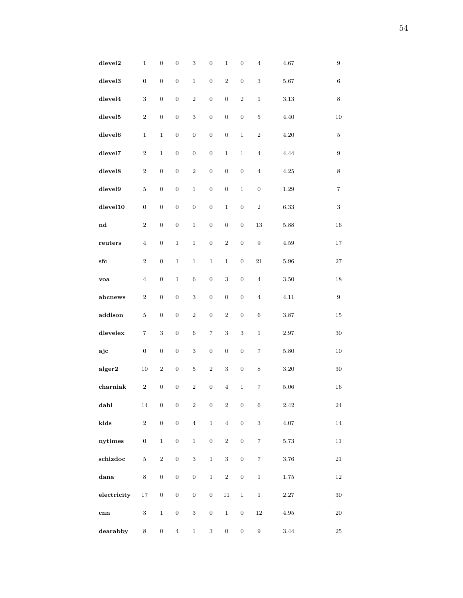| dlevel <sub>2</sub> | $\,1$            | $\boldsymbol{0}$ | $\boldsymbol{0}$ | $\,3$            | $\boldsymbol{0}$ | $\,1$            | $\boldsymbol{0}$ | $\bf{4}$                | $4.67\,$ | $\boldsymbol{9}$  |
|---------------------|------------------|------------------|------------------|------------------|------------------|------------------|------------------|-------------------------|----------|-------------------|
| $d$ level $3$       | $\boldsymbol{0}$ | $\boldsymbol{0}$ | $\boldsymbol{0}$ | $\,1$            | $\boldsymbol{0}$ | $\sqrt{2}$       | $\boldsymbol{0}$ | $\,3$                   | $5.67\,$ | $6\phantom{.}6$   |
| $d$ level $4$       | $\,3$            | $\boldsymbol{0}$ | $\boldsymbol{0}$ | $\,2$            | $\boldsymbol{0}$ | $\boldsymbol{0}$ | $\,2$            | $\,1$                   | $3.13\,$ | $\,8\,$           |
| $d$ level $5$       | $\,2$            | $\boldsymbol{0}$ | $\boldsymbol{0}$ | $\sqrt{3}$       | $\boldsymbol{0}$ | $\boldsymbol{0}$ | $\boldsymbol{0}$ | $\bf 5$                 | 4.40     | $10\,$            |
| dlevel <sub>6</sub> | $\mathbf 1$      | $\,1$            | $\boldsymbol{0}$ | $\boldsymbol{0}$ | $\boldsymbol{0}$ | $\boldsymbol{0}$ | $\,1$            | $\,2$                   | $4.20\,$ | 5                 |
| dlevel7             | $\,2$            | $\,1$            | $\boldsymbol{0}$ | $\boldsymbol{0}$ | $\boldsymbol{0}$ | $\,1$            | $\,1$            | $\,4\,$                 | 4.44     | $\boldsymbol{9}$  |
| $d$ level $8$       | $\,2$            | $\boldsymbol{0}$ | $\boldsymbol{0}$ | $\,2$            | $\boldsymbol{0}$ | $\boldsymbol{0}$ | $\boldsymbol{0}$ | $\,4\,$                 | $4.25\,$ | 8                 |
| dlevel9             | $\bf 5$          | $\boldsymbol{0}$ | $\boldsymbol{0}$ | $\mathbf{1}$     | $\boldsymbol{0}$ | $\boldsymbol{0}$ | $\,1$            | $\boldsymbol{0}$        | $1.29\,$ | $\scriptstyle{7}$ |
| dlevel10            | $\boldsymbol{0}$ | $\boldsymbol{0}$ | $\boldsymbol{0}$ | $\boldsymbol{0}$ | $\boldsymbol{0}$ | $\,1$            | $\boldsymbol{0}$ | $\,2$                   | 6.33     | $\sqrt{3}$        |
| $^{\rm nd}$         | $\,2$            | $\boldsymbol{0}$ | $\boldsymbol{0}$ | $\,1$            | $\boldsymbol{0}$ | $\boldsymbol{0}$ | $\boldsymbol{0}$ | $13\,$                  | 5.88     | 16                |
| reaters             | $\bf{4}$         | $\boldsymbol{0}$ | $\,1$            | $\,1$            | $\boldsymbol{0}$ | $\,2$            | $\boldsymbol{0}$ | $\boldsymbol{9}$        | $4.59\,$ | $17\,$            |
| $_{\rm sfc}$        | $\,2$            | $\boldsymbol{0}$ | $\,1\,$          | $\,1$            | $\mathbf{1}$     | 1                | $\boldsymbol{0}$ | $21\,$                  | $5.96\,$ | 27                |
| voa                 | $\overline{4}$   | $\boldsymbol{0}$ | $\mathbf 1$      | $\,6\,$          | $\boldsymbol{0}$ | $\,3$            | $\boldsymbol{0}$ | $\bf{4}$                | $3.50\,$ | 18                |
| abcnews             | $\,2$            | $\boldsymbol{0}$ | $\boldsymbol{0}$ | $\,3$            | $\boldsymbol{0}$ | $\boldsymbol{0}$ | $\boldsymbol{0}$ | $\bf{4}$                | 4.11     | $\boldsymbol{9}$  |
| addison             | $\bf 5$          | $\boldsymbol{0}$ | $\boldsymbol{0}$ | $\,2$            | $\boldsymbol{0}$ | $\sqrt{2}$       | $\boldsymbol{0}$ | $\,6\,$                 | $3.87\,$ | 15                |
| $d$ levelex         | 7                | 3                | $\boldsymbol{0}$ | $\,6\,$          | 7                | $\,3$            | $\,3$            | $\,1$                   | 2.97     | 30                |
| ajc                 | $\boldsymbol{0}$ | $\boldsymbol{0}$ | $\boldsymbol{0}$ | $\sqrt{3}$       | $\boldsymbol{0}$ | $\boldsymbol{0}$ | $\boldsymbol{0}$ | 7                       | 5.80     | 10                |
| alger2              | $10\,$           | $\,2$            | $\boldsymbol{0}$ | $\bf 5$          | $\,2$            | $\,3$            | $\boldsymbol{0}$ | $\,$ 8 $\,$             | $3.20\,$ | 30                |
| charniak            | $\,2$            | $\boldsymbol{0}$ | $\boldsymbol{0}$ | $\,2$            | 0                | $\overline{4}$   | $\,1$            | $\scriptstyle{7}$       | $5.06\,$ | 16                |
| dahl                | 14               | $\boldsymbol{0}$ | $\boldsymbol{0}$ | $\,2$            | $\boldsymbol{0}$ | $\,2$            | $\boldsymbol{0}$ | $\,6\,$                 | $2.42\,$ | $\bf{24}$         |
| kids                | $\,2$            | $\boldsymbol{0}$ | $\boldsymbol{0}$ | $\bf{4}$         | $\,1$            | $\bf 4$          | $\boldsymbol{0}$ | $\,3$                   | $4.07\,$ | $14\,$            |
| nytimes             | $\boldsymbol{0}$ | $\,1$            | $\boldsymbol{0}$ | $\,1$            | $\boldsymbol{0}$ | $\overline{2}$   | $\boldsymbol{0}$ | $\overline{\mathbf{7}}$ | $5.73\,$ | $11\,$            |
| schizdoc            | $\bf 5$          | $\,2$            | $\boldsymbol{0}$ | $\,3$            | $\,1$            | $\,3$            | $\boldsymbol{0}$ | $\overline{\mathbf{7}}$ | $3.76\,$ | 21                |
| dana                | $\,8\,$          | $\boldsymbol{0}$ | $\boldsymbol{0}$ | $\boldsymbol{0}$ | $\,1$            | $\overline{2}$   | $\boldsymbol{0}$ | $\,1$                   | $1.75\,$ | 12                |
| electricity         | $17\,$           | $\boldsymbol{0}$ | $\boldsymbol{0}$ | $\boldsymbol{0}$ | $\boldsymbol{0}$ | $11\,$           | $\,1$            | $\,1\,$                 | $2.27\,$ | $30\,$            |
| $_{\rm{cnn}}$       | $\,3$            | $\,1$            | $\boldsymbol{0}$ | $\,3$            | $\boldsymbol{0}$ | $\,1$            | $\boldsymbol{0}$ | $12\,$                  | $4.95\,$ | <b>20</b>         |
| dearabby            | $\,8\,$          | $\boldsymbol{0}$ | $\ensuremath{4}$ | $\,1$            | $\,3$            | $\boldsymbol{0}$ | $\boldsymbol{0}$ | $\boldsymbol{9}$        | $3.44\,$ | $\rm 25$          |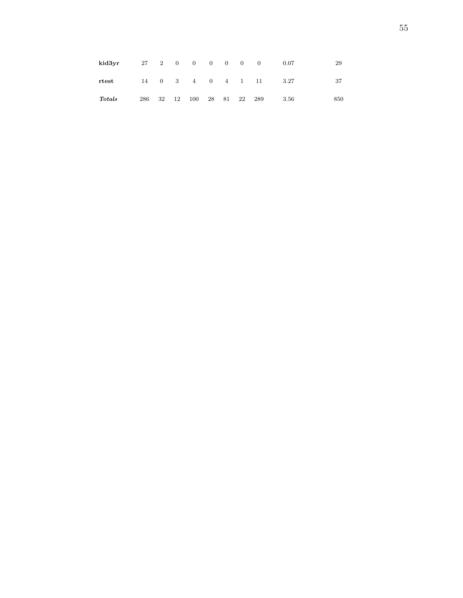| kid3yr         |        |    | 27 2 0 0 0 0             |  | $\cdot$ 0 | - 0 | 0.07 | 29  |
|----------------|--------|----|--------------------------|--|-----------|-----|------|-----|
| $_{\rm rtest}$ |        |    | 14  0  3  4  0  4  1  11 |  |           |     | 3.27 | 37  |
| $\bm{Totals}$  | 286 32 | 12 | 100 28 81 22 289         |  |           |     | 3.56 | 850 |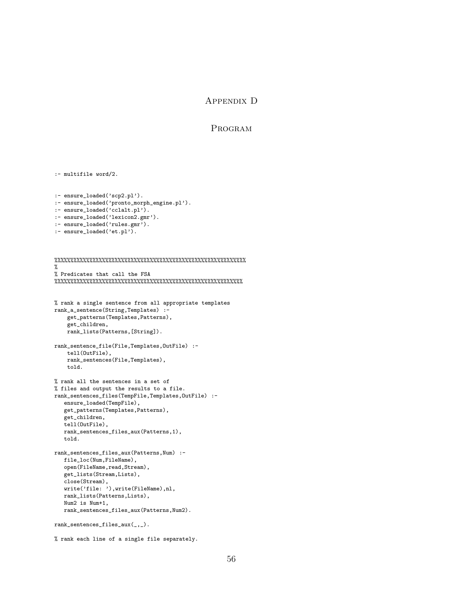## Appendix D

#### Program

```
:- multifile word/2.
:- ensure_loaded('scp2.pl').
:- ensure_loaded('pronto_morph_engine.pl').
:- ensure_loaded('cclalt.pl').
:- ensure_loaded('lexicon2.gmr').
:- ensure_loaded('rules.gmr').
:- ensure_loaded('et.pl').
%%%%%%%%%%%%%%%%%%%%%%%%%%%%%%%%%%%%%%%%%%%%%%%%%%%%%%%%%%%%
%
% Predicates that call the FSA
%%%%%%%%%%%%%%%%%%%%%%%%%%%%%%%%%%%%%%%%%%%%%%%%%%%%%%%%%%%
% rank a single sentence from all appropriate templates
rank_a_sentence(String,Templates) :-
   get_patterns(Templates,Patterns),
    get_children,
   rank_lists(Patterns,[String]).
rank_sentence_file(File,Templates,OutFile) :-
   tell(OutFile),
   rank_sentences(File,Templates),
   told.
% rank all the sentences in a set of
% files and output the results to a file.
rank_sentences_files(TempFile,Templates,OutFile) :-
   ensure_loaded(TempFile),
   get_patterns(Templates,Patterns),
   get_children,
   tell(OutFile),
   rank_sentences_files_aux(Patterns,1),
   told.
rank_sentences_files_aux(Patterns,Num) :-
   file_loc(Num,FileName),
   open(FileName,read,Stream),
   get_lists(Stream,Lists),
   close(Stream),
   write('file: '),write(FileName),nl,
   rank_lists(Patterns,Lists),
   Num2 is Num+1,
   rank_sentences_files_aux(Patterns,Num2).
rank_sentences_files_aux(_,_).
```

```
% rank each line of a single file separately.
```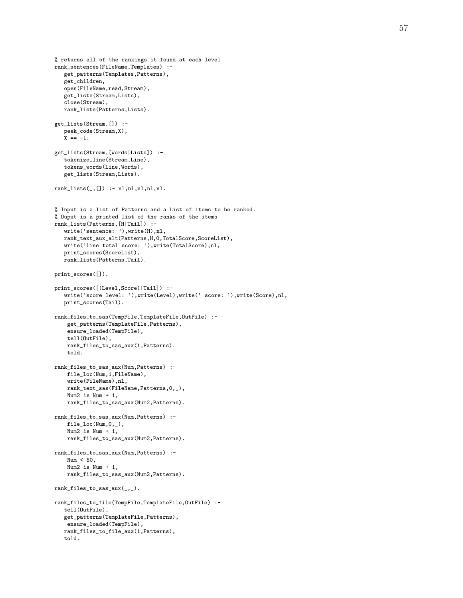```
% returns all of the rankings it found at each level
rank_sentences(FileName,Templates) :-
   get_patterns(Templates,Patterns),
   get_children,
   open(FileName,read,Stream),
   get_lists(Stream,Lists),
   close(Stream),
   rank_lists(Patterns,Lists).
get_lists(Stream,[]) :-
   peek_code(Stream,X),
   X = -1.
get_lists(Stream,[Words|Lists]) :-
   tokenize_line(Stream,Line),
   tokens_words(Line,Words),
   get_lists(Stream,Lists).
rank\_lists(\_,[]) :- n1, n1, n1, n1, n1.% Input is a list of Patterns and a List of items to be ranked.
% Ouput is a printed list of the ranks of the items
rank_lists(Patterns,[H|Tail]) :-
   write('sentence: '),write(H),nl,
   rank_text_aux_alt(Patterns,H,0,TotalScore,ScoreList),
   write('line total score: '),write(TotalScore),nl,
   print_scores(ScoreList),
   rank_lists(Patterns,Tail).
print_scores([]).
print_scores([(Level,Score)|Tail]) :-
   write('score level: '),write(Level),write(' score: '),write(Score),nl,
   print_scores(Tail).
rank_files_to_sas(TempFile,TemplateFile,OutFile) :-
    get_patterns(TemplateFile,Patterns),
    ensure_loaded(TempFile),
    tell(OutFile),
   rank_files_to_sas_aux(1,Patterns).
    told.
rank_files_to_sas_aux(Num,Patterns) :-
   file_loc(Num,1,FileName),
    write(FileName),nl,
   rank_text_sas(FileName,Patterns,0,_),
    Num2 is Num + 1,
    rank_files_to_sas_aux(Num2,Patterns).
rank_files_to_sas_aux(Num,Patterns) :-
    file_loc(Num,0,_),
    Num2 is Num + 1,
    rank_files_to_sas_aux(Num2,Patterns).
rank_files_to_sas_aux(Num,Patterns) :-
    Num < 50,
    Num2 is Num + 1,
    rank_files_to_sas_aux(Num2,Patterns).
rank_files_to_sas_aux(_,_).
rank_files_to_file(TempFile,TemplateFile,OutFile) :-
   tell(OutFile),
   get_patterns(TemplateFile,Patterns),
   ensure_loaded(TempFile),
   rank_files_to_file_aux(1,Patterns),
   told.
```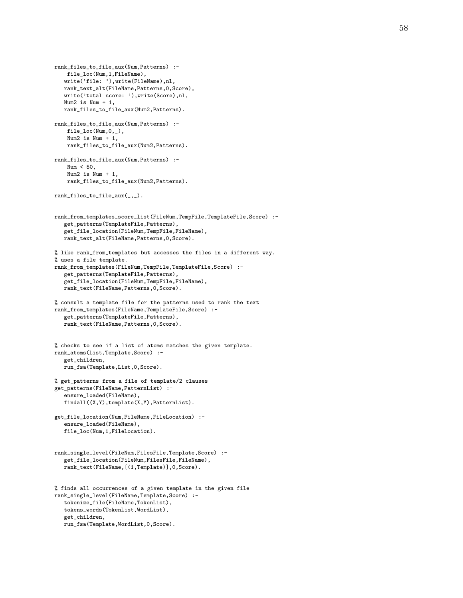```
rank_files_to_file_aux(Num,Patterns) :-
   file_loc(Num,1,FileName),
   write('file: '),write(FileName),nl,
   rank_text_alt(FileName,Patterns,0,Score),
   write('total score: '),write(Score),nl,
   Num2 is Num + 1rank_files_to_file_aux(Num2,Patterns).
rank_files_to_file_aux(Num,Patterns) :-
    file_loc(Num,0,_),
    Num2 is Num + 1,
    rank_files_to_file_aux(Num2,Patterns).
rank_files_to_file_aux(Num,Patterns) :-
   Num < 50,
    Num2 is Num + 1,
    rank_files_to_file_aux(Num2,Patterns).
rank_files_to_file_aux(_,_).
rank_from_templates_score_list(FileNum,TempFile,TemplateFile,Score) :-
   get_patterns(TemplateFile,Patterns),
   get_file_location(FileNum,TempFile,FileName),
   rank_text_alt(FileName,Patterns,0,Score).
% like rank_from_templates but accesses the files in a different way.
% uses a file template.
rank_from_templates(FileNum,TempFile,TemplateFile,Score) :-
   get_patterns(TemplateFile,Patterns),
   get_file_location(FileNum,TempFile,FileName),
   rank_text(FileName,Patterns,0,Score).
% consult a template file for the patterns used to rank the text
rank_from_templates(FileName,TemplateFile,Score) :-
   get_patterns(TemplateFile,Patterns),
   rank_text(FileName,Patterns,0,Score).
% checks to see if a list of atoms matches the given template.
rank_atoms(List,Template,Score) :-
   get_children,
   run_fsa(Template,List,0,Score).
% get_patterns from a file of template/2 clauses
get_patterns(FileName,PatternList) :-
   ensure_loaded(FileName),
   findall((X,Y),template(X,Y),PatternList).
get_file_location(Num,FileName,FileLocation) :-
   ensure_loaded(FileName),
   file_loc(Num,1,FileLocation).
rank_single_level(FileNum,FilesFile,Template,Score) :-
   get_file_location(FileNum,FilesFile,FileName),
   rank_text(FileName,[(1,Template)],0,Score).
% finds all occurrences of a given template in the given file
rank_single_level(FileName,Template,Score) :-
   tokenize_file(FileName,TokenList),
   tokens_words(TokenList,WordList),
   get_children,
   run_fsa(Template,WordList,0,Score).
```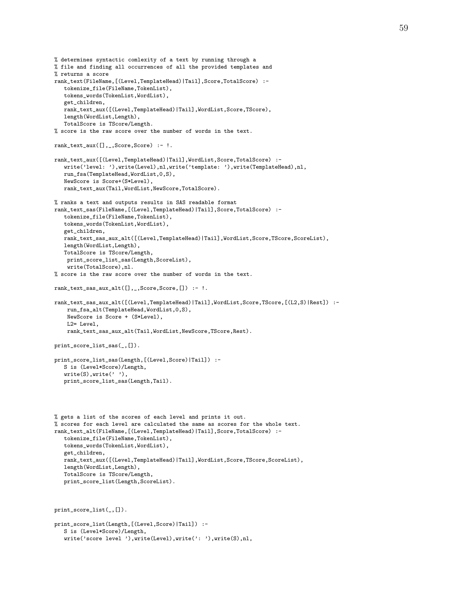```
% determines syntactic comlexity of a text by running through a
% file and finding all occurrences of all the provided templates and
% returns a score
rank_text(FileName,[(Level,TemplateHead)|Tail],Score,TotalScore) :-
   tokenize_file(FileName,TokenList),
   tokens_words(TokenList,WordList),
   get children.
   rank_text_aux([(Level,TemplateHead)|Tail],WordList,Score,TScore),
   length(WordList,Length),
   TotalScore is TScore/Length.
% score is the raw score over the number of words in the text.
rank_text_aux([],_,Score,Score) :- !.
rank_text_aux([(Level,TemplateHead)|Tail],WordList,Score,TotalScore) :-
   write('level: '),write(Level),nl,write('template: '),write(TemplateHead),nl,
   run_fsa(TemplateHead,WordList,0,S),
   NewScore is Score+(S*Level),
   rank_text_aux(Tail,WordList,NewScore,TotalScore).
% ranks a text and outputs results in SAS readable format
rank_text_sas(FileName,[(Level,TemplateHead)|Tail],Score,TotalScore) :-
   tokenize_file(FileName,TokenList),
   tokens_words(TokenList,WordList),
   get_children,
   rank_text_sas_aux_alt([(Level,TemplateHead)|Tail],WordList,Score,TScore,ScoreList),
   length(WordList,Length),
   TotalScore is TScore/Length,
   print_score_list_sas(Length,ScoreList),
    write(TotalScore),nl.
% score is the raw score over the number of words in the text.
rank_text_sas_aux_alt([],_,Score,Score,[]) :- !.
rank_text_sas_aux_alt([(Level,TemplateHead)|Tail],WordList,Score,TScore,[(L2,S)|Rest]) :-
   run_fsa_alt(TemplateHead,WordList,0,S),
    NewScore is Score + (S*Level),
    L2= Level,
    rank_text_sas_aux_alt(Tail,WordList,NewScore,TScore,Rest).
print_score_list_sas(_,[]).
print_score_list_sas(Length,[(Level,Score)|Tail]) :-
   S is (Level*Score)/Length,
   write(S), write(''),
   print_score_list_sas(Length,Tail).
% gets a list of the scores of each level and prints it out.
% scores for each level are calculated the same as scores for the whole text.
rank_text_alt(FileName,[(Level,TemplateHead)|Tail],Score,TotalScore) :-
   tokenize_file(FileName,TokenList),
   tokens_words(TokenList,WordList),
   get_children,
   rank_text_aux([(Level,TemplateHead)|Tail],WordList,Score,TScore,ScoreList),
   length(WordList,Length),
   TotalScore is TScore/Length,
   print_score_list(Length,ScoreList).
print_score_list(_,[]).
print_score_list(Length,[(Level,Score)|Tail]) :-
   S is (Level*Score)/Length,
   write('score level '), write(Level), write(': '), write(S), nl,
```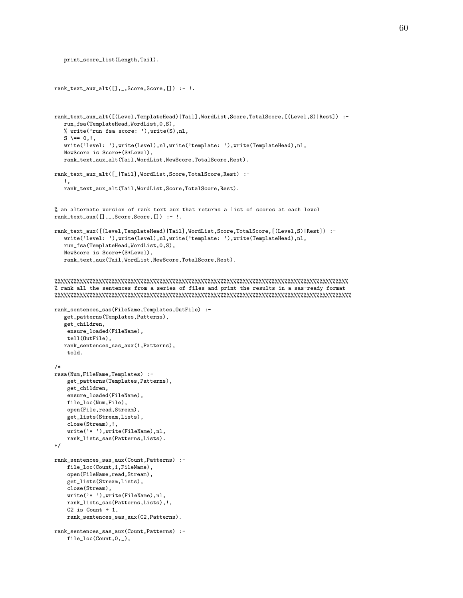```
print_score_list(Length,Tail).
rank_text_aux_alt([],_,Score,Score,[]) :- !.
rank_text_aux_alt([(Level,TemplateHead)|Tail],WordList,Score,TotalScore,[(Level,S)|Rest]) :-
   run_fsa(TemplateHead,WordList,0,S),
   % write('run fsa score: '),write(S),nl,
   S \leftarrow 0, !,
   write('level: '),write(Level),nl,write('template: '),write(TemplateHead),nl,
   NewScore is Score+(S*Level),
   rank_text_aux_alt(Tail,WordList,NewScore,TotalScore,Rest).
rank_text_aux_alt([_|Tail],WordList,Score,TotalScore,Rest) :-
   !,
   rank_text_aux_alt(Tail,WordList,Score,TotalScore,Rest).
% an alternate version of rank text aux that returns a list of scores at each level
rank_text_aux([],_,Score,Score,[]) :- !.
rank_text_aux([(Level,TemplateHead)|Tail],WordList,Score,TotalScore,[(Level,S)|Rest]) :-
   write('level: '),write(Level),nl,write('template: '),write(TemplateHead),nl,
   run_fsa(TemplateHead,WordList,0,S),
   NewScore is Score+(S*Level),
   rank_text_aux(Tail,WordList,NewScore,TotalScore,Rest).
%%%%%%%%%%%%%%%%%%%%%%%%%%%%%%%%%%%%%%%%%%%%%%%%%%%%%%%%%%%%%%%%%%%%%%%%%%%%%%%%%%%%%%%%%%%%
% rank all the sentences from a series of files and print the results in a sas-ready format
%%%%%%%%%%%%%%%%%%%%%%%%%%%%%%%%%%%%%%%%%%%%%%%%%%%%%%%%%%%%%%%%%%%%%%%%%%%%%%%%%%%%%%%%%%%%%
rank_sentences_sas(FileName,Templates,OutFile) :-
   get_patterns(Templates,Patterns),
   get_children,
    ensure_loaded(FileName),
    tell(OutFile),
   rank_sentences_sas_aux(1,Patterns),
    told.
/*
rssa(Num,FileName,Templates) :-
   get_patterns(Templates,Patterns),
    get_children,
    ensure_loaded(FileName),
    file_loc(Num,File),
    open(File,read,Stream),
    get_lists(Stream,Lists),
    close(Stream),!,
    write('* '),write(FileName),nl,
    rank_lists_sas(Patterns,Lists).
*/
rank_sentences_sas_aux(Count,Patterns) :-
    file_loc(Count,1,FileName),
    open(FileName,read,Stream),
    get_lists(Stream,Lists),
    close(Stream),
    write('* '),write(FileName),nl,
    rank_lists_sas(Patterns,Lists),!,
    C2 is Count +1,
   rank_sentences_sas_aux(C2,Patterns).
rank_sentences_sas_aux(Count,Patterns) :-
    file_loc(Count,0,_),
```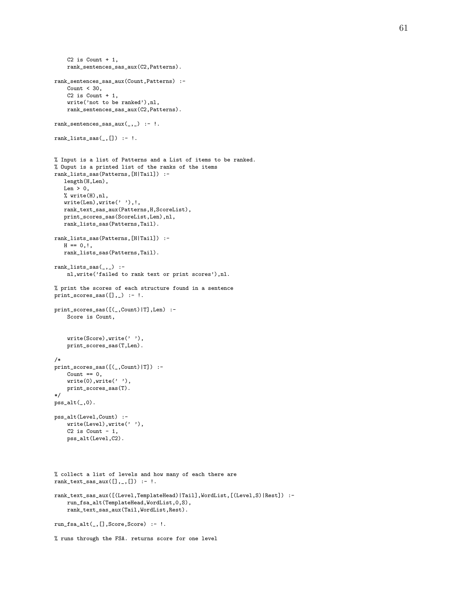```
C2 is Count +1,
    rank_sentences_sas_aux(C2,Patterns).
rank_sentences_sas_aux(Count,Patterns) :-
   Count < 30,
    C2 is Count +1,
   write('not to be ranked'),nl,
   rank_sentences_sas_aux(C2,Patterns).
rank_sentences_sas_aux(_,_) :- !.
rank\_lists\_sas(\_,[]) :- !.
% Input is a list of Patterns and a List of items to be ranked.
% Ouput is a printed list of the ranks of the items
rank_lists_sas(Patterns,[H|Tail]) :-
  length(H,Len),
   Len > 0,
   % write(H),nl,
   write(Len),write(' '),!,
  rank_text_sas_aux(Patterns,H,ScoreList),
   print_scores_sas(ScoreList,Len),nl,
   rank_lists_sas(Patterns,Tail).
rank_lists_sas(Patterns,[H|Tail]) :-
  H == 0, !,
   rank_lists_sas(Patterns,Tail).
rank_lists_sas(\_) :-
   nl,write('failed to rank text or print scores'),nl.
% print the scores of each structure found in a sentence
print_scores_sas([],_) :- !.
print_scores_sas([(_,Count)|T],Len) :-
   Score is Count,
    write(Score),write(' '),
   print_scores_sas(T,Len).
/*
print_scores_sas([(_,Count)|T]) :-
   Count == 0,
    write(0), write(''),
   print_scores_sas(T).
*/
pss_alt(, 0).
pss_alt(Level,Count) :-
    write(Level),write(' '),
   C2 is Count -1,
    pss_alt(Level,C2).
% collect a list of levels and how many of each there are
rank_{text\_sas\_aux}([],\_,[]) :- !.
rank_text_sas_aux([(Level,TemplateHead)|Tail],WordList,[(Level,S)|Rest]) :-
   run_fsa_alt(TemplateHead,WordList,0,S),
    rank_text_sas_aux(Tail,WordList,Rest).
run_fsa_alt(_,[],Score,Score) :- !.
% runs through the FSA. returns score for one level
```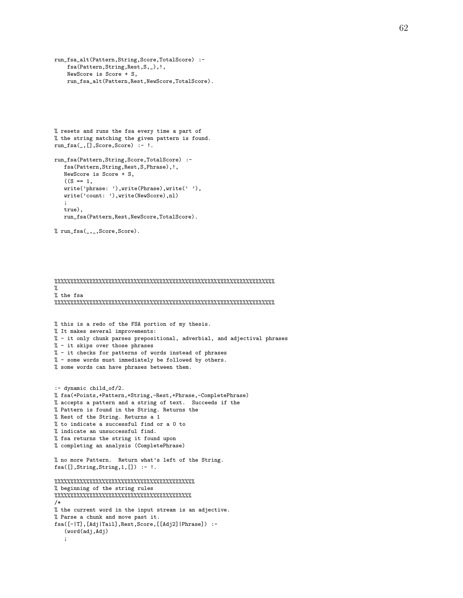```
run_fsa_alt(Pattern,String,Score,TotalScore) :-
   fsa(Pattern,String,Rest,S,_),!,
   NewScore is Score + S,
   run_fsa_alt(Pattern,Rest,NewScore,TotalScore).
```

```
% resets and runs the fsa every time a part of
% the string matching the given pattern is found.
run_fsa(_,[],Score,Score) :- !.
```

```
run_fsa(Pattern,String,Score,TotalScore) :-
   fsa(Pattern,String,Rest,S,Phrase),!,
   NewScore is Score + S,
   ((S == 1,write('phrase: '),write(Phrase),write(' '),
   write('count: '),write(NewScore),nl)
   ;
   true),
   run_fsa(Pattern,Rest,NewScore,TotalScore).
```

```
% run_fsa(_,_,Score,Score).
```
%%%%%%%%%%%%%%%%%%%%%%%%%%%%%%%%%%%%%%%%%%%%%%%%%%%%%%%%%%%%%%%%%%%%% % % the fsa %%%%%%%%%%%%%%%%%%%%%%%%%%%%%%%%%%%%%%%%%%%%%%%%%%%%%%%%%%%%%%%%%%%%% % this is a redo of the FSA portion of my thesis. % It makes several improvements: % - it only chunk parses prepositional, adverbial, and adjectival phrases % - it skips over those phrases % - it checks for patterns of words instead of phrases % - some words must immediately be followed by others. % some words can have phrases between them. :- dynamic child\_of/2. % fsa(+Points,+Pattern,+String,-Rest,+Phrase,-CompletePhrase) % accepts a pattern and a string of text. Succeeds if the % Pattern is found in the String. Returns the % Rest of the String. Returns a 1 % to indicate a successful find or a 0 to % indicate an unsuccessful find. % fsa returns the string it found upon % completing an analysis (CompletePhrase) % no more Pattern. Return what's left of the String.  $fsa([], String, String, 1, []): - !$ . %%%%%%%%%%%%%%%%%%%%%%%%%%%%%%%%%%%%%%%%%%%% % beginning of the string rules %%%%%%%%%%%%%%%%%%%%%%%%%%%%%%%%%%%%%%%%%%% /\* % the current word in the input stream is an adjective. % Parse a chunk and move past it. fsa([-|T],[Adj|Tail],Rest,Score,[[Adj2]|Phrase]) :- (word(adj,Adj) ;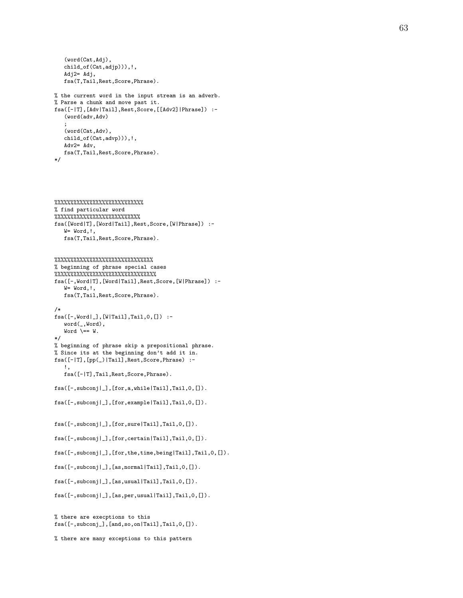```
(word(Cat,Adj),
   child_of(Cat,adjp))),!,
   Adj2= Adj,
   fsa(T,Tail,Rest,Score,Phrase).
% the current word in the input stream is an adverb.
% Parse a chunk and move past it.
fsa([-|T],[Adv|Tail],Rest,Score,[[Adv2]|Phrase]) :-
   (word(adv,Adv)
   ;
   (word(Cat,Adv),
   child_of(Cat,advp))),!,
   Adv2= Adv,
   fsa(T,Tail,Rest,Score,Phrase).
```

```
*/
```

```
%%%%%%%%%%%%%%%%%%%%%%%%%%%%
% find particular word
%%%%%%%%%%%%%%%%%%%%%%%%%%%
fsa([Word|T],[Word|Tail],Rest,Score,[W|Phrase]) :-
   W= Word,!,
   fsa(T,Tail,Rest,Score,Phrase).
```

```
%%%%%%%%%%%%%%%%%%%%%%%%%%%%%%%
% beginning of phrase special cases
%%%%%%%%%%%%%%%%%%%%%%%%%%%%%%%%
fsa([-,Word|T],[Word|Tail],Rest,Score,[W|Phrase]) :-
   W= Word,!,
   fsa(T,Tail,Rest,Score,Phrase).
/*
fsa([-,Word|_],[W|Tail],Tail,0,[]) :-
   word(_,Word),
   Word \leftarrow W.
*/
% beginning of phrase skip a prepositional phrase.
% Since its at the beginning don't add it in.
fsa([-|T],[pp(_)|Tail],Rest,Score,Phrase) :-
   !,
   fsa([-|T],Tail,Rest,Score,Phrase).
fsa([-,subconj|_],[for,a,while|Tail],Tail,0,[]).
```

```
fsa([-,subconj|_],[for,example|Tail],Tail,0,[]).
```

```
fsa([-,subconj|_],[for,sure|Tail],Tail,0,[]).
```

```
fsa([-,subconj|_],[for,certain|Tail],Tail,0,[]).
```

```
fsa([-,subconj|_],[for,the,time,being|Tail],Tail,0,[]).
```

```
fsa([-,subconj|_],[as,normal|Tail],Tail,0,[]).
```

```
fsa([-,subconj|_],[as,usual|Tail],Tail,0,[]).
```

```
fsa([-,subconj|_],[as,per,usual|Tail],Tail,0,[]).
```

```
% there are execptions to this
fsa([-,subconj_],[and,so,on|Tail],Tail,0,[]).
```

```
% there are many exceptions to this pattern
```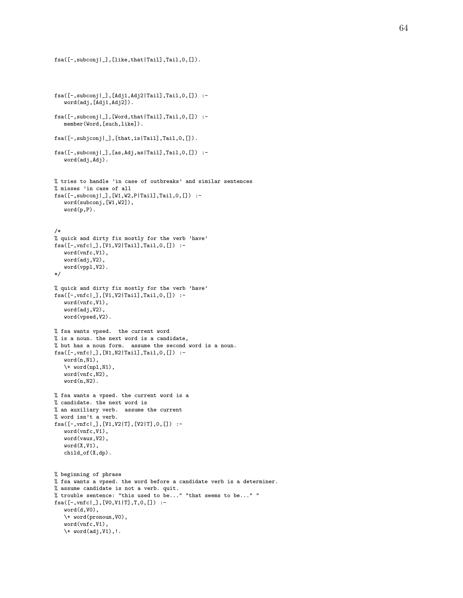```
fsa([-,subconj|_],[Adj1,Adj2|Tail],Tail,0,[]) :-
   word(adj,[Adj1,Adj2]).
fsa([-,subconj|_],[Word,that|Tail],Tail,0,[]) :-
   member(Word,[such,like]).
fsa([-,subjconj|_],[that,is|Tail],Tail,0,[]).
fsa([-,subconj|_],[as,Adj,as|Tail],Tail,0,[]) :-
   word(adj,Adj).
% tries to handle 'in case of outbreaks' and similar sentences
% misses 'in case of all
fsa([-,subconj|_],[W1,W2,P|Tail],Tail,0,[]) :-
   word(subconj,[W1,W2]),
   word(p, P).
/*
% quick and dirty fix mostly for the verb 'have'
fsa([-,vnfc|_],[V1,V2|Tail],Tail,0,[]) :-
   word(vnfc,V1),
   word(adj,V2),
   word(vppl,V2).
*/
% quick and dirty fix mostly for the verb 'have'
fsa([-,vnfc|_],[V1,V2|Tail],Tail,0,[]) :-
   word(vnfc,V1),
   word(adj,V2),
   word(vpsed,V2).
% fsa wants vpsed. the current word
% is a noun. the next word is a candidate,
% but has a noun form. assume the second word is a noun.
fsa([-,vnfc|_],[N1,N2|Tail],Tail,0,[]) :-
   word(n,N1),
   \forall + word(npl,N1),
   word(vnfc,N2),
   word(n,N2).
% fsa wants a vpsed. the current word is a
% candidate. the next word is
% an auxiliary verb. assume the current
% word isn't a verb.
fsa([-,vnfc|_],[V1,V2|T],[V2|T],0,[]) :-
   word(vnfc,V1),
   word(vaux,V2),
   word(X,V1),
   child_of(X,dp).
% beginning of phrase
% fsa wants a vpsed. the word before a candidate verb is a determiner.
% assume candidate is not a verb. quit.
% trouble sentence: "this used to be..." "that seems to be..." "
fsa([-,vnfc|_],[V0,V1|T],T,0,[]) :-
   word(d,V0),
   \+ word(pronoun,V0),
   word(vnfc,V1),
   \+ word(adj,V1),!.
```
fsa([-,subconj|\_],[like,that|Tail],Tail,0,[]).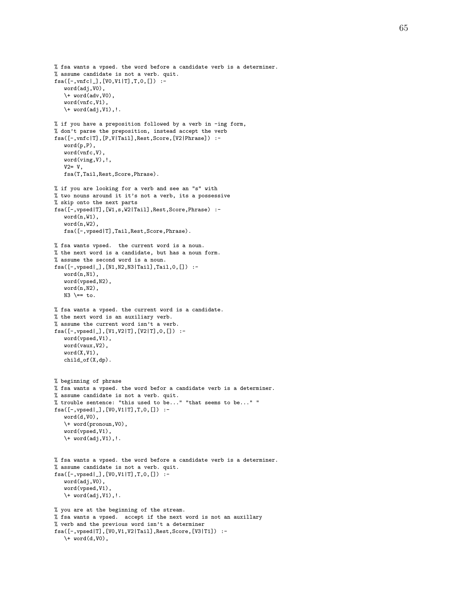```
% fsa wants a vpsed. the word before a candidate verb is a determiner.
% assume candidate is not a verb. quit.
fsa([-,vnfc|_],[V0,V1|T],T,0,[]) :-
   word(adj,V0),
   \forall word(adv, V0)
   word(vnfc,V1),
   \forall + word(adj, V1), !.
% if you have a preposition followed by a verb in -ing form,
% don't parse the preposition, instead accept the verb
fsa([-,vnfc|T],[P,V|Tail],Rest,Score,[V2|Phrase]) :-
   word(p,P),
   word(vnfc,V)
   word(ving,V),!,
   V2= V,
   fsa(T,Tail,Rest,Score,Phrase).
% if you are looking for a verb and see an "s" with
% two nouns around it it's not a verb, its a possessive
% skip onto the next parts
fsa([-,vpsed|T],[W1,s,W2|Tail],Rest,Score,Phrase) :-
   word(n,W1),
   word(n,W2),
   fsa([-,vpsed|T],Tail,Rest,Score,Phrase).
% fsa wants vpsed. the current word is a noun.
% the next word is a candidate, but has a noun form.
% assume the second word is a noun.
fsa([-,vpsed|_],[N1,N2,N3|Tail],Tail,0,[]) :-
   word(n,N1),
   word(vpsed,N2),
   word(n,N2),
   N3 \leftarrow to.
% fsa wants a vpsed. the current word is a candidate.
% the next word is an auxiliary verb.
% assume the current word isn't a verb.
fsa([-,vpsed|_],[V1,V2|T],[V2|T],0,[]) :-
   word(vpsed,V1),
   word(vaux,V2),
   word(X,V1),
   child_of(X,dp).
% beginning of phrase
% fsa wants a vpsed. the word befor a candidate verb is a determiner.
% assume candidate is not a verb. quit.
% trouble sentence: "this used to be..." "that seems to be..." "
fsa([-,vpsed|_],[V0,V1|T],T,0,[]) :-
   word(d,V0),
   \+ word(pronoun,V0),
   word(vpsed,V1),
   \forall word(adj, V1), !.
% fsa wants a vpsed. the word before a candidate verb is a determiner.
% assume candidate is not a verb. quit.
fsa([-,vpsed|_],[V0,V1|T],T,0,[]) :-
   word(adj,V0),
   word(vpsed,V1),
   \+ word(adj,V1),!.
% you are at the beginning of the stream.
% fsa wants a vpsed. accept if the next word is not an auxillary
% verb and the previous word isn't a determiner
fsa([-,vpsed|T],[V0,V1,V2|Tail],Rest,Score,[V3|T1]) :-
   \forall word(d, V0),
```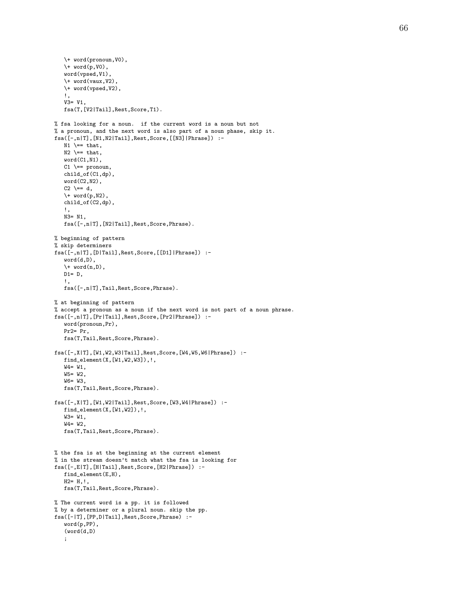```
% fsa looking for a noun. if the current word is a noun but not
% a pronoun, and the next word is also part of a noun phase, skip it.
fsa([-,n|T],[N1,N2|Tail],Rest,Score,[[N3]|Phrase]) :-
   fsa([-,n|T],[N2|Tail],Rest,Score,Phrase).
fsa([-,n|T],[D|Tail],Rest,Score,[[D1]|Phrase]) :-
```

```
\forall + word(n,D),
   D1 = D,
   !,
   fsa([-,n|T],Tail,Rest,Score,Phrase).
% at beginning of pattern
% accept a pronoun as a noun if the next word is not part of a noun phrase.
fsa([-,n|T],[Pr|Tail],Rest,Score,[Pr2|Phrase]) :-
   word(pronoun,Pr),
   Pr2= Pr,
   fsa(T,Tail,Rest,Score,Phrase).
fsa([-,X|T],[W1,W2,W3|Tail],Rest,Score,[W4,W5,W6|Phrase]) :-
   find_element(X,[W1,W2,W3]),!,
   W4= W1,
  W5= W2,
   W6= W3,
   fsa(T,Tail,Rest,Score,Phrase).
fsa([-,X|T],[W1,W2|Tail],Rest,Score,[W3,W4|Phrase]) :-
   find_element(X,[W1,W2]),!,
   W3= W1,
   W4= W2,
   fsa(T,Tail,Rest,Score,Phrase).
% the fsa is at the beginning at the current element
% in the stream doesn't match what the fsa is looking for
fsa([-,E|T],[H|Tail],Rest,Score,[H2|Phrase]) :-
   find_element(E,H),
   H2= H, !,
   fsa(T,Tail,Rest,Score,Phrase).
% The current word is a pp. it is followed
% by a determiner or a plural noun. skip the pp.
fsa([-|T],[PP,D|Tail],Rest,Score,Phrase) :-
```
\+ word(pronoun,V0), \+ word(p,V0), word(vpsed,V1), \+ word(vaux,V2), \+ word(vpsed,V2),

fsa(T,[V2|Tail],Rest,Score,T1).

!, V3= V1,

!, N3= N1,

 $N1$   $\leftarrow$  that,  $N2$   $\leftarrow$  that, word(C1,N1),  $C1$   $\leftarrow$  pronoun, child\_of(C1,dp), word(C2,N2), C2  $\leftarrow$  d,  $\forall$  word(p, N2), child\_of(C2,dp),

% beginning of pattern % skip determiners

word(d,D),

word(p,PP), (word(d,D)

;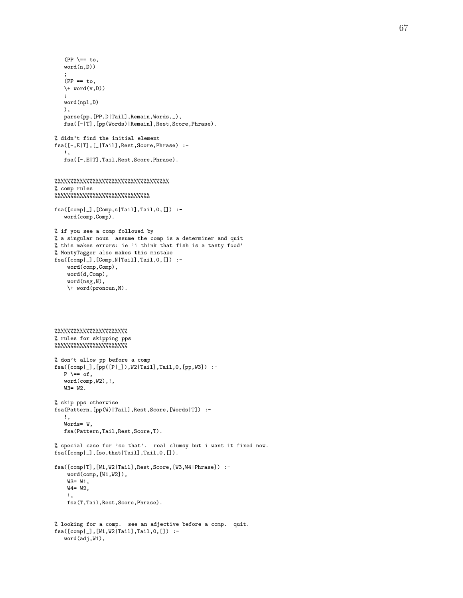```
(PP \ \leftarrow = \text{to},word(n,D))
   ;
   (PP == to,\forall word(v,D))
   ;
   word(npl,D)
   ),
   parse(pp, [PP, D|Tail], Remain, Words, _),
   fsa([-|T],[pp(Words)|Remain],Rest,Score,Phrase).
% didn't find the initial element
fsa([-,E|T],[_|Tail],Rest,Score,Phrase) :-
   !,
   fsa([-,E|T],Tail,Rest,Score,Phrase).
%%%%%%%%%%%%%%%%%%%%%%%%%%%%%%%%%%%%
% comp rules
%%%%%%%%%%%%%%%%%%%%%%%%%%%%%%
fsa([comp|_],[Comp,s|Tail],Tail,0,[]) :-
   word(comp,Comp).
% if you see a comp followed by
% a singular noun assume the comp is a determiner and quit
% this makes errors: ie 'i think that fish is a tasty food'
% MontyTagger also makes this mistake
fsa([comp|_],[Comp,N|Tail],Tail,0,[]) :-
    word(comp,Comp),
    word(d,Comp),
    word(nsg,N),
    \+ word(pronoun,N).
%%%%%%%%%%%%%%%%%%%%%%%
% rules for skipping pps
%%%%%%%%%%%%%%%%%%%%%%%
% don't allow pp before a comp
fsa([comp|_],[pp([P|_]),W2|Tail],Tail,0,[pp,W3]) :-
  P \rightharpoonup == of,
   word(comp,W2),!,
   W3= W2.
% skip pps otherwise
fsa(Pattern,[pp(W)|Tail],Rest,Score,[Words|T]) :-
  !,
   Words= W,
   fsa(Pattern,Tail,Rest,Score,T).
% special case for 'so that'. real clumsy but i want it fixed now.
fsa([comp|_],[so,that|Tail],Tail,0,[]).
fsa([comp|T],[W1,W2|Tail],Rest,Score,[W3,W4|Phrase]) :-
    word(comp,[W1,W2]),
    W3 = W1.
    W4= W2,
    !,
    fsa(T,Tail,Rest,Score,Phrase).
% looking for a comp. see an adjective before a comp. quit.
fsa([comp|_],[W1,W2|Tail],Tail,0,[]) :-
   word(adj,W1),
```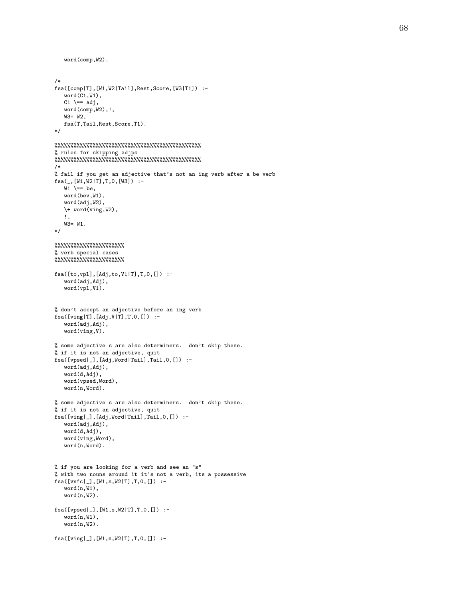```
word(comp,W2).
/*
fsa([comp|T],[W1,W2|Tail],Rest,Score,[W3|T1]) :-
   word(C1,W1),
   C1 \leftarrow adj,
   word(comp,W2),!,
   W3= W2,
   fsa(T,Tail,Rest,Score,T1).
*/
%%%%%%%%%%%%%%%%%%%%%%%%%%%%%%%%%%%%%%%%%%%%%%
% rules for skipping adjps
%%%%%%%%%%%%%%%%%%%%%%%%%%%%%%%%%%%%%%%%%%%%%%
/*
% fail if you get an adjective that's not an ing verb after a be verb
fsa(_,[W1,W2|T],T,0,[W3]) :-
  W1 \leftarrow be,
   word(bev,W1),
   word(adj,W2),
   \+ word(ving,W2),
   !,
   W3= W1.
*/
%%%%%%%%%%%%%%%%%%%%%%
% verb special cases
%%%%%%%%%%%%%%%%%%%%%%
fsa([to,vpl],[Adj,to,V1|T],T,0,[]) :-
   word(adj,Adj),
   word(vpl,V1).
% don't accept an adjective before an ing verb
fsa([ving | T], [Adj, V | T], T, 0, []): -word(adj,Adj),
   word(ving,V).
% some adjective s are also determiners. don't skip these.
% if it is not an adjective, quit
fsa([vpsed|_],[Adj,Word|Tail],Tail,0,[]) :-
   word(adj,Adj),
   word(d,Adj),
   word(vpsed,Word),
   word(n,Word).
% some adjective s are also determiners. don't skip these.
% if it is not an adjective, quit
fsa([ving|_],[Adj,Word|Tail],Tail,0,[]) :-
   word(adj,Adj),
   word(d,Adj),
   word(ving,Word),
   word(n,Word).
% if you are looking for a verb and see an "s"
% with two nouns around it it's not a verb, its a possessive
fsa([vnfc|_],[W1,s,W2|T],T,0,[]) :-
   word(n,W1),
   word(n,W2).
fsa([vpsed|_],[W1,s,W2|T],T,0,[]) :-
   word(n.W1).
   word(n,W2).
fsa([ving|_],[W1,s,W2|T],T,0,[]) :-
```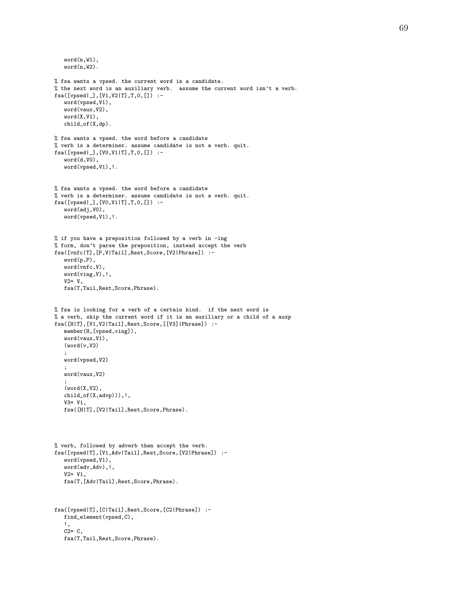```
word(n,W1),
   word(n,W2).
% fsa wants a vpsed. the current word is a candidate.
% the next word is an auxiliary verb. assume the current word isn't a verb.
fsa([vpsed|_],[V1,V2|T],T,0,[]) :-
   word(vpsed,V1),
   word(vaux,V2),
   word(X,V1),
   child_of(X,dp).
% fsa wants a vpsed. the word before a candidate
% verb is a determiner. assume candidate is not a verb. quit.
fsa([vpsed|_],[V0,V1|T],T,0,[]) :-
   word(d,V0),
   word(vpsed,V1),!.
% fsa wants a vpsed. the word before a candidate
% verb is a determiner. assume candidate is not a verb. quit.
fsa([vpsed|_],[V0,V1|T],T,0,[]) :-
   word(adj,V0),
   word(vpsed,V1),!.
% if you have a preposition followed by a verb in -ing
% form, don't parse the preposition, instead accept the verb
fsa([vnfc|T],[P,V|Tail],Rest,Score,[V2|Phrase]) :-
   word(p,P),
   word(vnfc,V),
  word(ving,V),!,
   V2 = V,
   fsa(T,Tail,Rest,Score,Phrase).
% fsa is looking for a verb of a certain kind. if the next word is
% a verb, skip the current word if it is an auxiliary or a child of a auxp
fsa([H|T],[V1,V2|Tail],Rest,Score,[[V3]|Phrase]) :-
   member(H,[vpsed,ving]),
   word(vaux,V1),
   (word(v, V2));
   word(vpsed,V2)
   ;
   word(vaux,V2)
   ;
   (word(X,V2),child_of(X,advp))),!,
   V3= V1,
   fsa([H|T],[V2|Tail],Rest,Score,Phrase).
% verb, followed by adverb then accept the verb.
fsa([vpsed|T],[V1,Adv|Tail],Rest,Score,[V2|Phrase]) :-
   word(vpsed,V1),
   word(adv,Adv),!,
   V2= V1,
   fsa(T,[Adv|Tail],Rest,Score,Phrase).
fsa([vpsed|T],[C|Tail],Rest,Score,[C2|Phrase]) :-
  find_element(vpsed,C),
   !,
   C2 = C,
   fsa(T,Tail,Rest,Score,Phrase).
```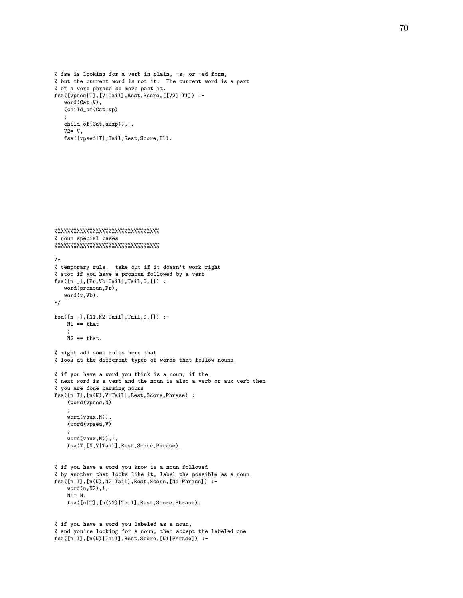```
% fsa is looking for a verb in plain, -s, or -ed form,
% but the current word is not it. The current word is a part
% of a verb phrase so move past it.
fsa([vpsed|T],[V|Tail],Rest,Score,[[V2]|Tl]) :-
   word(Cat,V),
   (child_of(Cat,vp)
   ;
   child_of(Cat,auxp)),!,
   V2=V,fsa([vpsed|T],Tail,Rest,Score,Tl).
```

```
%%%%%%%%%%%%%%%%%%%%%%%%%%%%%%%%%
% noun special cases
%%%%%%%%%%%%%%%%%%%%%%%%%%%%%%%%%
/*
% temporary rule. take out if it doesn't work right
% stop if you have a pronoun followed by a verb
fsa([n|_],[Pr,Vb|Tail],Tail,0,[]) :-
   word(pronoun,Pr),
   word(v,Vb).
*/
fsa([n|_],[N1,N2|Tail],Tail,0,[]) :-
   N1 == that;
   N2 == that.% might add some rules here that
% look at the different types of words that follow nouns.
% if you have a word you think is a noun, if the
% next word is a verb and the noun is also a verb or aux verb then
% you are done parsing nouns
fsa([n|T],[n(N),V|Tail],Rest,Score,Phrase) :-
    (word(vpsed,N)
    ;
    word(vaux,N)),
    (word(vpsed,V)
    ;
    word(vaux,N)),!,
    fsa(T,[N,V|Tail],Rest,Score,Phrase).
% if you have a word you know is a noun followed
% by another that looks like it, label the possible as a noun
fsa([n|T],[n(N),N2|Tail],Rest,Score,[N1|Phrase]) :-
    word(n,N2),!,
    N1 = N,
    fsa([n|T],[n(N2)|Tail],Rest,Score,Phrase).
```

```
% if you have a word you labeled as a noun,
% and you're looking for a noun, then accept the labeled one
fsa([n|T],[n(N)|Tail],Rest,Score,[N1|Phrase]) :-
```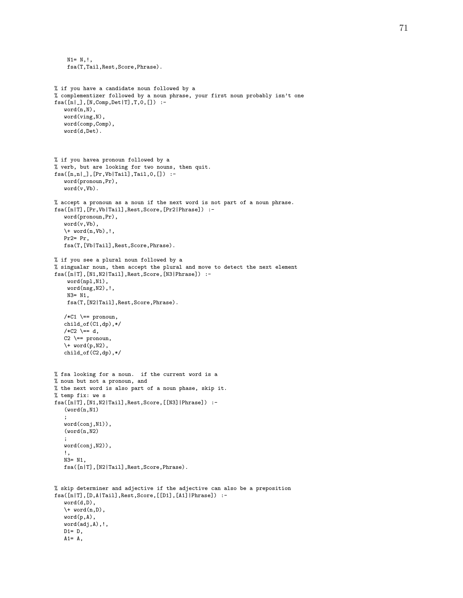```
N1= N,!,
    fsa(T,Tail,Rest,Score,Phrase).
% if you have a candidate noun followed by a
% complementizer followed by a noun phrase, your first noun probably isn't one
fsa([n|_],[N,Comp,Det|T],T,0,[]) :-
   word(n,N),
   word(ving,N),
   word(comp,Comp),
   word(d,Det).
% if you havea pronoun followed by a
% verb, but are looking for two nouns, then quit.
fsa([n,n|_],[Pr,Vb|Tail],Tail,0,[]) :-
   word(pronoun,Pr),
   word(v,Vb).
% accept a pronoun as a noun if the next word is not part of a noun phrase.
fsa([n|T],[Pr,Vb|Tail],Rest,Score,[Pr2|Phrase]) :-
   word(pronoun,Pr),
   word(v,Vb),
   \+ word(n,Vb),!,
   Pr2= Pr,
   fsa(T,[Vb|Tail],Rest,Score,Phrase).
% if you see a plural noun followed by a
% singualar noun, then accept the plural and move to detect the next element
fsa([n|T],[N1,N2|Tail],Rest,Score,[N3|Phrase]) :-
    word(npl,N1),
    word(nsg,N2),!,
    N3= N1,
    fsa(T,[N2|Tail],Rest,Score,Phrase).
   /*C1 == pronoun,
   child_of(C1,dp),*/
   /*C2 \leftarrow d,
   C2 \leftarrow pronoun,
   \forall word(p,N2),
   child_of(C2,dp),*/
% fsa looking for a noun. if the current word is a
% noun but not a pronoun, and
% the next word is also part of a noun phase, skip it.
% temp fix: we s
fsa([n|T],[N1,N2|Tail],Rest,Score,[[N3]|Phrase]) :-
   (word(n,N1));
   word(conj,N1)),
   (word(n,N2));
   word(conj,N2)),
   !,
   N3 = N1fsa([n|T],[N2|Tail],Rest,Score,Phrase).
% skip determiner and adjective if the adjective can also be a preposition
fsa([n|T],[D,A|Tail],Rest,Score,[[D1],[A1]|Phrase]) :-
   word(d,D),
   \forall word(n,D),
   word(p,A),
   word(adj,A),!,
   D1= D,
   A1 = A,
```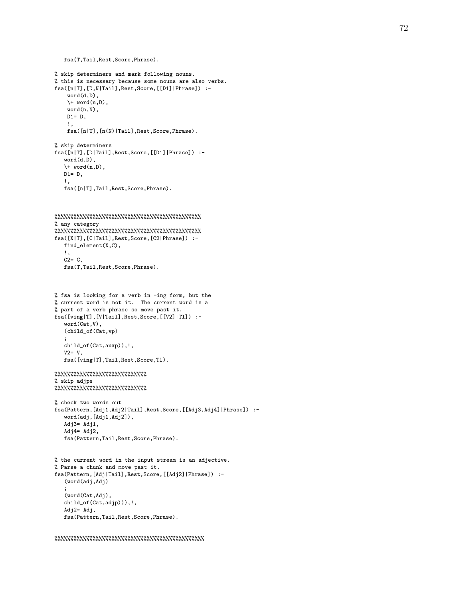```
fsa(T,Tail,Rest,Score,Phrase).
% skip determiners and mark following nouns.
% this is necessary because some nouns are also verbs.
fsa([n|T],[D,N|Tail],Rest,Score,[[D1]|Phrase]) :-
    word(d,D),
    \forall word(n, D).
    word(n,N),
    D1 = D,
    !,
    fsa([n|T],[n(N)|Tail],Rest,Score,Phrase).
% skip determiners
fsa([n|T],[D|Tail],Rest,Score,[[D1]|Phrase]) :-
   word(d,D),
   \+ word(n,D),
   D1 = D,
   !,
   fsa([n|T],Tail,Rest,Score,Phrase).
%%%%%%%%%%%%%%%%%%%%%%%%%%%%%%%%%%%%%%%%%%%%%%
% any category
%%%%%%%%%%%%%%%%%%%%%%%%%%%%%%%%%%%%%%%%%%%%%%
fsa([X|T],[C|Tail],Rest,Score,[C2|Phrase]) :-
  find_element(X,C),
   !,
   C2 = C.
   fsa(T,Tail,Rest,Score,Phrase).
% fsa is looking for a verb in -ing form, but the
% current word is not it. The current word is a
% part of a verb phrase so move past it.
fsa([ving|T],[V|Tail],Rest,Score,[[V2]|Tl]) :-
   word(Cat,V),
   (child_of(Cat,vp)
   ;
   child_of(Cat,auxp)),!,
   V2= V,
   fsa([ving|T],Tail,Rest,Score,Tl).
%%%%%%%%%%%%%%%%%%%%%%%%%%%%%
% skip adjps
%%%%%%%%%%%%%%%%%%%%%%%%%%%%%
% check two words out
fsa(Pattern,[Adj1,Adj2|Tail],Rest,Score,[[Adj3,Adj4]|Phrase]) :-
   word(adj,[Adj1,Adj2]),
   Adj3= Adj1,
   Adj4 = Adj2,
   fsa(Pattern,Tail,Rest,Score,Phrase).
% the current word in the input stream is an adjective.
% Parse a chunk and move past it.
fsa(Pattern,[Adj|Tail],Rest,Score,[[Adj2]|Phrase]) :-
   (word(adj,Adj)
   ;
   (word(Cat,Adj),
   child_of(Cat,adjp))),!,
   Adj2= Adj,
   fsa(Pattern,Tail,Rest,Score,Phrase).
```

```
%%%%%%%%%%%%%%%%%%%%%%%%%%%%%%%%%%%%%%%%%%%%%%%
```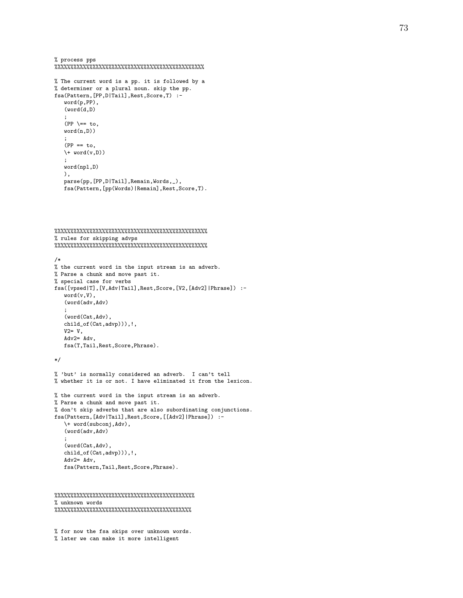```
% process pps
%%%%%%%%%%%%%%%%%%%%%%%%%%%%%%%%%%%%%%%%%%%%%%%
```

```
% The current word is a pp. it is followed by a
% determiner or a plural noun. skip the pp.
fsa(Pattern,[PP,D|Tail],Rest,Score,T) :-
   word(p,PP),
   (word(d,D)
   ;
   (PP \ \leftarrow = \text{to},word(n,D))
   ;
   (PP == to,\forall word(v,D))
   ;
   word(npl,D)
   ),
   parse(pp, [PP, D|Tail], Remain, Words, _),
   fsa(Pattern,[pp(Words)|Remain],Rest,Score,T).
```

```
%%%%%%%%%%%%%%%%%%%%%%%%%%%%%%%%%%%%%%%%%%%%%%%%
% rules for skipping advps
%%%%%%%%%%%%%%%%%%%%%%%%%%%%%%%%%%%%%%%%%%%%%%%%
/*
% the current word in the input stream is an adverb.
% Parse a chunk and move past it.
% special case for verbs
fsa([vpsed|T],[V,Adv|Tail],Rest,Score,[V2,[Adv2]|Phrase]) :-
   word(v,V),
   (word(adv,Adv)
   ;
   (word(Cat,Adv),
   child_of(Cat,advp))),!,
   V2 = V,
   Adv2= Adv,
   fsa(T,Tail,Rest,Score,Phrase).
*/
% 'but' is normally considered an adverb. I can't tell
% whether it is or not. I have eliminated it from the lexicon.
% the current word in the input stream is an adverb.
% Parse a chunk and move past it.
% don't skip adverbs that are also subordinating conjunctions.
fsa(Pattern,[Adv|Tail],Rest,Score,[[Adv2]|Phrase]) :-
   \+ word(subconj,Adv),
   (word(adv,Adv)
   ;
   (word(Cat,Adv),
   child_of(Cat,advp))),!,
   Adv2= Adv,
   fsa(Pattern,Tail,Rest,Score,Phrase).
```

```
%%%%%%%%%%%%%%%%%%%%%%%%%%%%%%%%%%%%%%%%%%%%
% unknown words
%%%%%%%%%%%%%%%%%%%%%%%%%%%%%%%%%%%%%%%%%%%
```
% for now the fsa skips over unknown words. % later we can make it more intelligent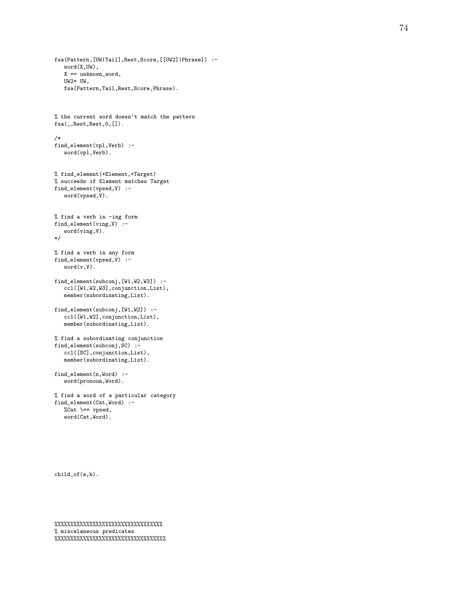```
fsa(Pattern,[UW|Tail],Rest,Score,[[UW2]|Phrase]) :-
   word(X,UW),
   X == unknown_word,
   UW2= UW,
   fsa(Pattern,Tail,Rest,Score,Phrase).
% the current word doesn't match the pattern
fsa(_,Rest,Rest,0,[]).
/*
find_element(vpl,Verb) :-
   word(vpl,Verb).
% find_element(+Element,+Target)
% succeeds if Element matches Target
find_element(vpsed,V) :-
   word(vpsed,V).
% find a verb in -ing form
find_element(ving,V) :-
   word(ving,V).
*/
% find a verb in any form
find_element(vpsed,V) :-
   word(v,V).
find_element(subconj,[W1,W2,W3]) :-
   ccl([W1,W2,W3],conjunction,List),
   member(subordinating,List).
find_element(subconj,[W1,W2]) :-
   ccl([W1,W2],conjunction,List),
   member(subordinating,List).
% find a subordinating conjunction
find_element(subconj,SC) :-
   ccl([SC],conjunction,List),
   member(subordinating,List).
find_element(n,Word) :-
   word(pronoun,Word).
% find a word of a particular category
find_element(Cat,Word) :-
   %\lambdaCat \setminus == vpsed,
   word(Cat,Word).
```

```
child_of(a,b).
```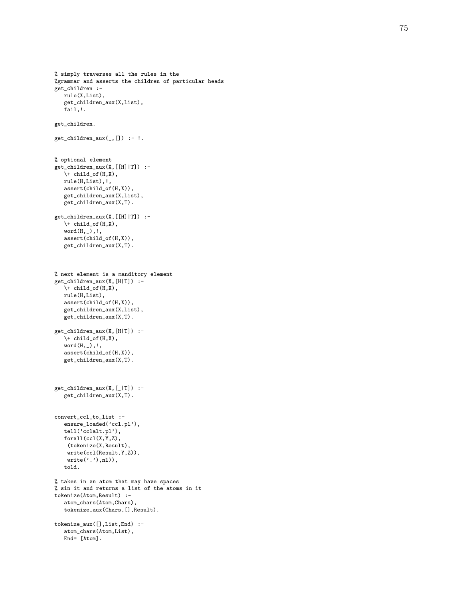```
% simply traverses all the rules in the
%grammar and asserts the children of particular heads
get_children :-
   rule(X,List),
   get_children_aux(X,List),
   fail,!.
get_children.
get\_children\_aux(, []) :-!.
% optional element
get_children_aux(X,[[H]|T]) :-
   \hbox{child_of(H,X)},rule(H,List),!,
   assert(child_of(H,X)),
   get_children_aux(X,List),
   get_children_aux(X,T).
get_children_aux(X,[[H]|T]) :-
   \setminus + child_of(H,X),
   word(H,_),!,
   assert(child_of(H,X)),
   get_children_aux(X,T).
% next element is a manditory element
get_children_aux(X,[H|T]) :-
   \setminus + child_of(H,X),
   rule(H,List),
   assert(child_of(H,X)),
   get_children_aux(X,List),
   get_children_aux(X,T).
get_children_aux(X,[H|T]) :-
   \+ child_of(H,X),
   word(H, _), !,
   assert(child_of(H,X)),
   get_children_aux(X,T).
get_children_aux(X,[_|T]) :-
   get_children_aux(X,T).
convert_ccl_to_list :-
   ensure_loaded('ccl.pl'),
   tell('cclalt.pl'),
   forall(ccl(X,Y,Z),
    (tokenize(X,Result),
    write(ccl(Result,Y,Z)),
    write('.'),nl)),told.
% takes in an atom that may have spaces
% sin it and returns a list of the atoms in it
tokenize(Atom,Result) :-
   atom_chars(Atom,Chars),
   tokenize_aux(Chars,[],Result).
tokenize_aux([],List,End) :-
   atom_chars(Atom,List),
   End= [Atom].
```